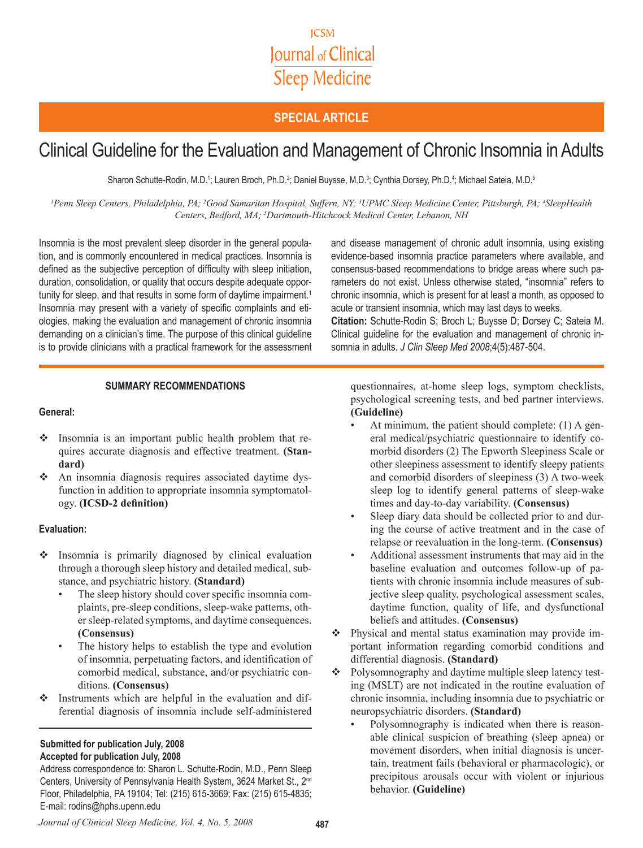## **ICSM** Journal of Clinical **Sleep Medicine**

## **Special Article**

# Clinical Guideline for the Evaluation and Management of Chronic Insomnia in Adults

Sharon Schutte-Rodin, M.D.<sup>1</sup>; Lauren Broch, Ph.D.<sup>2</sup>; Daniel Buysse, M.D.<sup>3</sup>; Cynthia Dorsey, Ph.D.<sup>4</sup>; Michael Sateia, M.D.<sup>5</sup>

*1 Penn Sleep Centers, Philadelphia, PA; 2 Good Samaritan Hospital, Suffern, NY; 3 UPMC Sleep Medicine Center, Pittsburgh, PA; 4 SleepHealth Centers, Bedford, MA; 5 Dartmouth-Hitchcock Medical Center, Lebanon, NH*

Insomnia is the most prevalent sleep disorder in the general population, and is commonly encountered in medical practices. Insomnia is defined as the subjective perception of difficulty with sleep initiation, duration, consolidation, or quality that occurs despite adequate opportunity for sleep, and that results in some form of daytime impairment.<sup>1</sup> Insomnia may present with a variety of specific complaints and etiologies, making the evaluation and management of chronic insomnia demanding on a clinician's time. The purpose of this clinical guideline is to provide clinicians with a practical framework for the assessment and disease management of chronic adult insomnia, using existing evidence-based insomnia practice parameters where available, and consensus-based recommendations to bridge areas where such parameters do not exist. Unless otherwise stated, "insomnia" refers to chronic insomnia, which is present for at least a month, as opposed to acute or transient insomnia, which may last days to weeks.

**Citation:** Schutte-Rodin S; Broch L; Buysse D; Dorsey C; Sateia M. Clinical guideline for the evaluation and management of chronic insomnia in adults. *J Clin Sleep Med 2008*;4(5):487-504.

## **SUMMARY RECOMMENDATIONS**

## **General:**

- Insomnia is an important public health problem that requires accurate diagnosis and effective treatment. **(Standard)**
- An insomnia diagnosis requires associated daytime dysfunction in addition to appropriate insomnia symptomatology. **(ICSD-2 definition)**

## **Evaluation:**

- $\triangle$  Insomnia is primarily diagnosed by clinical evaluation through a thorough sleep history and detailed medical, substance, and psychiatric history. **(Standard)**
	- The sleep history should cover specific insomnia complaints, pre-sleep conditions, sleep-wake patterns, other sleep-related symptoms, and daytime consequences. **(Consensus)**
	- The history helps to establish the type and evolution of insomnia, perpetuating factors, and identification of comorbid medical, substance, and/or psychiatric conditions. **(Consensus)**
- $\cdot$  Instruments which are helpful in the evaluation and differential diagnosis of insomnia include self-administered

### **Submitted for publication July, 2008 Accepted for publication July, 2008**

Address correspondence to: Sharon L. Schutte-Rodin, M.D., Penn Sleep Centers, University of Pennsylvania Health System, 3624 Market St., 2<sup>nd</sup> Floor, Philadelphia, PA 19104; Tel: (215) 615-3669; Fax: (215) 615-4835; E-mail: rodins@hphs.upenn.edu

questionnaires, at-home sleep logs, symptom checklists, psychological screening tests, and bed partner interviews. **(Guideline)**

- At minimum, the patient should complete:  $(1)$  A general medical/psychiatric questionnaire to identify comorbid disorders (2) The Epworth Sleepiness Scale or other sleepiness assessment to identify sleepy patients and comorbid disorders of sleepiness (3) A two-week sleep log to identify general patterns of sleep-wake times and day-to-day variability. **(Consensus)**
- Sleep diary data should be collected prior to and during the course of active treatment and in the case of relapse or reevaluation in the long-term. **(Consensus)**
- Additional assessment instruments that may aid in the baseline evaluation and outcomes follow-up of patients with chronic insomnia include measures of subjective sleep quality, psychological assessment scales, daytime function, quality of life, and dysfunctional beliefs and attitudes. **(Consensus)**
- Physical and mental status examination may provide important information regarding comorbid conditions and differential diagnosis. **(Standard)**
- \* Polysomnography and daytime multiple sleep latency testing (MSLT) are not indicated in the routine evaluation of chronic insomnia, including insomnia due to psychiatric or neuropsychiatric disorders. **(Standard)**
	- Polysomnography is indicated when there is reasonable clinical suspicion of breathing (sleep apnea) or movement disorders, when initial diagnosis is uncertain, treatment fails (behavioral or pharmacologic), or precipitous arousals occur with violent or injurious behavior. **(Guideline)**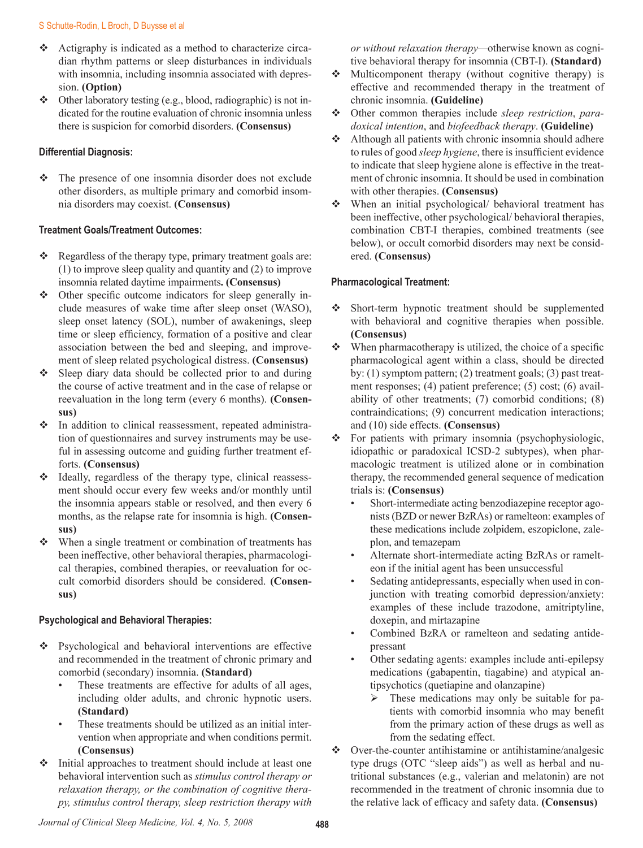- Actigraphy is indicated as a method to characterize circadian rhythm patterns or sleep disturbances in individuals with insomnia, including insomnia associated with depression. **(Option)**
- Other laboratory testing (e.g., blood, radiographic) is not indicated for the routine evaluation of chronic insomnia unless there is suspicion for comorbid disorders. **(Consensus)**

## **Differential Diagnosis:**

• The presence of one insomnia disorder does not exclude other disorders, as multiple primary and comorbid insomnia disorders may coexist. **(Consensus)**

## **Treatment Goals/Treatment Outcomes:**

- $\triangle$  Regardless of the therapy type, primary treatment goals are: (1) to improve sleep quality and quantity and (2) to improve insomnia related daytime impairments**. (Consensus)**
- Other specific outcome indicators for sleep generally include measures of wake time after sleep onset (WASO), sleep onset latency (SOL), number of awakenings, sleep time or sleep efficiency, formation of a positive and clear association between the bed and sleeping, and improvement of sleep related psychological distress. **(Consensus)**
- Sleep diary data should be collected prior to and during the course of active treatment and in the case of relapse or reevaluation in the long term (every 6 months). **(Consensus)**
- $\triangle$  In addition to clinical reassessment, repeated administration of questionnaires and survey instruments may be useful in assessing outcome and guiding further treatment efforts. **(Consensus)**
- Ideally, regardless of the therapy type, clinical reassessment should occur every few weeks and/or monthly until the insomnia appears stable or resolved, and then every 6 months, as the relapse rate for insomnia is high. **(Consensus)**
- When a single treatment or combination of treatments has been ineffective, other behavioral therapies, pharmacological therapies, combined therapies, or reevaluation for occult comorbid disorders should be considered. **(Consensus)**

## **Psychological and Behavioral Therapies:**

- Psychological and behavioral interventions are effective and recommended in the treatment of chronic primary and comorbid (secondary) insomnia. **(Standard)**
	- These treatments are effective for adults of all ages, including older adults, and chronic hypnotic users. **(Standard)**
	- These treatments should be utilized as an initial intervention when appropriate and when conditions permit. **(Consensus)**
- $\cdot \cdot$  Initial approaches to treatment should include at least one behavioral intervention such as *stimulus control therapy or relaxation therapy, or the combination of cognitive therapy, stimulus control therapy, sleep restriction therapy with*

*or without relaxation therapy—*otherwise known as cognitive behavioral therapy for insomnia (CBT-I). **(Standard)**

- Multicomponent therapy (without cognitive therapy) is effective and recommended therapy in the treatment of chronic insomnia. **(Guideline)**
- Other common therapies include *sleep restriction*, *paradoxical intention*, and *biofeedback therapy*. **(Guideline)**
- Although all patients with chronic insomnia should adhere to rules of good *sleep hygiene*, there is insufficient evidence to indicate that sleep hygiene alone is effective in the treatment of chronic insomnia. It should be used in combination with other therapies. **(Consensus)**
- When an initial psychological/ behavioral treatment has been ineffective, other psychological/ behavioral therapies, combination CBT-I therapies, combined treatments (see below), or occult comorbid disorders may next be considered. **(Consensus)**

## **Pharmacological Treatment:**

- Short-term hypnotic treatment should be supplemented with behavioral and cognitive therapies when possible. **(Consensus)**
- When pharmacotherapy is utilized, the choice of a specific pharmacological agent within a class, should be directed by: (1) symptom pattern; (2) treatment goals; (3) past treatment responses; (4) patient preference; (5) cost; (6) availability of other treatments; (7) comorbid conditions; (8) contraindications; (9) concurrent medication interactions; and (10) side effects. **(Consensus)**
- \* For patients with primary insomnia (psychophysiologic, idiopathic or paradoxical ICSD-2 subtypes), when pharmacologic treatment is utilized alone or in combination therapy, the recommended general sequence of medication trials is: **(Consensus)**
	- Short-intermediate acting benzodiazepine receptor agonists (BZD or newer BzRAs) or ramelteon: examples of these medications include zolpidem, eszopiclone, zaleplon, and temazepam
	- Alternate short-intermediate acting BzRAs or ramelteon if the initial agent has been unsuccessful
	- Sedating antidepressants, especially when used in conjunction with treating comorbid depression/anxiety: examples of these include trazodone, amitriptyline, doxepin, and mirtazapine
	- Combined BzRA or ramelteon and sedating antidepressant
	- Other sedating agents: examples include anti-epilepsy medications (gabapentin, tiagabine) and atypical antipsychotics (quetiapine and olanzapine)
		- $\triangleright$  These medications may only be suitable for patients with comorbid insomnia who may benefit from the primary action of these drugs as well as from the sedating effect.
- Over-the-counter antihistamine or antihistamine/analgesic type drugs (OTC "sleep aids") as well as herbal and nutritional substances (e.g., valerian and melatonin) are not recommended in the treatment of chronic insomnia due to the relative lack of efficacy and safety data. **(Consensus)**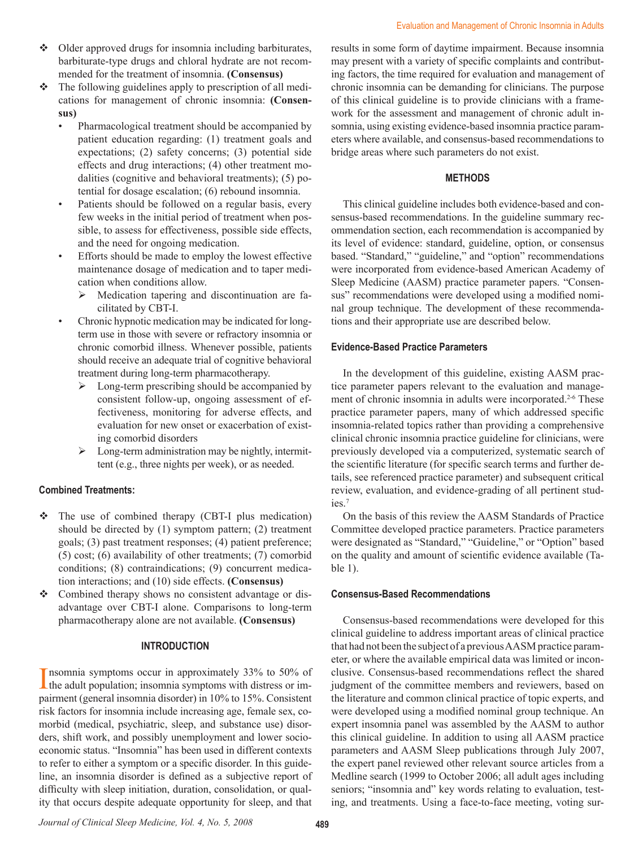- Older approved drugs for insomnia including barbiturates, barbiturate-type drugs and chloral hydrate are not recommended for the treatment of insomnia. **(Consensus)**
- $\triangle$  The following guidelines apply to prescription of all medications for management of chronic insomnia: **(Consensus)**
	- Pharmacological treatment should be accompanied by patient education regarding: (1) treatment goals and expectations; (2) safety concerns; (3) potential side effects and drug interactions; (4) other treatment modalities (cognitive and behavioral treatments); (5) potential for dosage escalation; (6) rebound insomnia.
	- Patients should be followed on a regular basis, every few weeks in the initial period of treatment when possible, to assess for effectiveness, possible side effects, and the need for ongoing medication.
	- Efforts should be made to employ the lowest effective maintenance dosage of medication and to taper medication when conditions allow.
		- $\triangleright$  Medication tapering and discontinuation are facilitated by CBT-I.
	- Chronic hypnotic medication may be indicated for longterm use in those with severe or refractory insomnia or chronic comorbid illness. Whenever possible, patients should receive an adequate trial of cognitive behavioral treatment during long-term pharmacotherapy.
		- $\triangleright$  Long-term prescribing should be accompanied by consistent follow-up, ongoing assessment of effectiveness, monitoring for adverse effects, and evaluation for new onset or exacerbation of existing comorbid disorders
		- $\triangleright$  Long-term administration may be nightly, intermittent (e.g., three nights per week), or as needed.

## **Combined Treatments:**

- \* The use of combined therapy (CBT-I plus medication) should be directed by (1) symptom pattern; (2) treatment goals; (3) past treatment responses; (4) patient preference; (5) cost; (6) availability of other treatments; (7) comorbid conditions; (8) contraindications; (9) concurrent medication interactions; and (10) side effects. **(Consensus)**
- \* Combined therapy shows no consistent advantage or disadvantage over CBT-I alone. Comparisons to long-term pharmacotherapy alone are not available. **(Consensus)**

## **INTRODUCTION**

Insomnia symptoms occur in approximately 33% to 50% of the adult population; insomnia symptoms with distress or imnsomnia symptoms occur in approximately 33% to 50% of pairment (general insomnia disorder) in 10% to 15%. Consistent risk factors for insomnia include increasing age, female sex, comorbid (medical, psychiatric, sleep, and substance use) disorders, shift work, and possibly unemployment and lower socioeconomic status. "Insomnia" has been used in different contexts to refer to either a symptom or a specific disorder. In this guideline, an insomnia disorder is defined as a subjective report of difficulty with sleep initiation, duration, consolidation, or quality that occurs despite adequate opportunity for sleep, and that results in some form of daytime impairment. Because insomnia may present with a variety of specific complaints and contributing factors, the time required for evaluation and management of chronic insomnia can be demanding for clinicians. The purpose of this clinical guideline is to provide clinicians with a framework for the assessment and management of chronic adult insomnia, using existing evidence-based insomnia practice parameters where available, and consensus-based recommendations to bridge areas where such parameters do not exist.

## **METHODS**

This clinical guideline includes both evidence-based and consensus-based recommendations. In the guideline summary recommendation section, each recommendation is accompanied by its level of evidence: standard, guideline, option, or consensus based. "Standard," "guideline," and "option" recommendations were incorporated from evidence-based American Academy of Sleep Medicine (AASM) practice parameter papers. "Consensus" recommendations were developed using a modified nominal group technique. The development of these recommendations and their appropriate use are described below.

## **Evidence-Based Practice Parameters**

In the development of this guideline, existing AASM practice parameter papers relevant to the evaluation and management of chronic insomnia in adults were incorporated.<sup>2-6</sup> These practice parameter papers, many of which addressed specific insomnia-related topics rather than providing a comprehensive clinical chronic insomnia practice guideline for clinicians, were previously developed via a computerized, systematic search of the scientific literature (for specific search terms and further details, see referenced practice parameter) and subsequent critical review, evaluation, and evidence-grading of all pertinent studies.<sup>7</sup>

On the basis of this review the AASM Standards of Practice Committee developed practice parameters. Practice parameters were designated as "Standard," "Guideline," or "Option" based on the quality and amount of scientific evidence available (Table 1).

### **Consensus-Based Recommendations**

Consensus-based recommendations were developed for this clinical guideline to address important areas of clinical practice that had not been the subject of a previous AASM practice parameter, or where the available empirical data was limited or inconclusive. Consensus-based recommendations reflect the shared judgment of the committee members and reviewers, based on the literature and common clinical practice of topic experts, and were developed using a modified nominal group technique. An expert insomnia panel was assembled by the AASM to author this clinical guideline. In addition to using all AASM practice parameters and AASM Sleep publications through July 2007, the expert panel reviewed other relevant source articles from a Medline search (1999 to October 2006; all adult ages including seniors; "insomnia and" key words relating to evaluation, testing, and treatments. Using a face-to-face meeting, voting sur-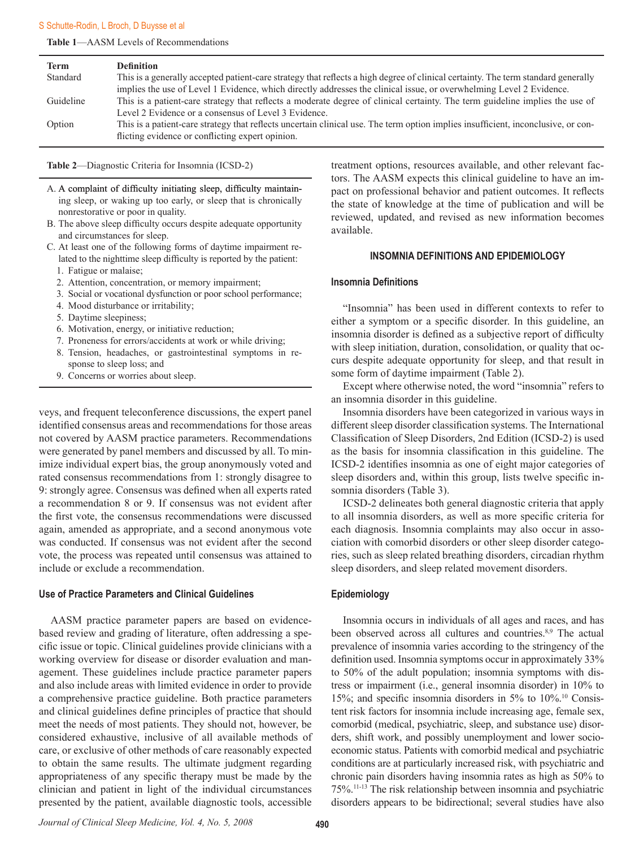| <b>Table 1—AASM</b> Levels of Recommendations |
|-----------------------------------------------|
|-----------------------------------------------|

| Term      | <b>Definition</b>                                                                                                                 |
|-----------|-----------------------------------------------------------------------------------------------------------------------------------|
| Standard  | This is a generally accepted patient-care strategy that reflects a high degree of clinical certainty. The term standard generally |
|           | implies the use of Level 1 Evidence, which directly addresses the clinical issue, or overwhelming Level 2 Evidence.               |
| Guideline | This is a patient-care strategy that reflects a moderate degree of clinical certainty. The term guideline implies the use of      |
|           | Level 2 Evidence or a consensus of Level 3 Evidence.                                                                              |
| Option    | This is a patient-care strategy that reflects uncertain clinical use. The term option implies insufficient, inconclusive, or con- |
|           | flicting evidence or conflicting expert opinion.                                                                                  |

**Table 2**—Diagnostic Criteria for Insomnia (ICSD-2)

- A. A complaint of difficulty initiating sleep, difficulty maintaining sleep, or waking up too early, or sleep that is chronically nonrestorative or poor in quality.
- B. The above sleep difficulty occurs despite adequate opportunity and circumstances for sleep.
- C. At least one of the following forms of daytime impairment related to the nighttime sleep difficulty is reported by the patient:
	- 1. Fatigue or malaise;
	- 2. Attention, concentration, or memory impairment;
	- 3. Social or vocational dysfunction or poor school performance;
	- 4. Mood disturbance or irritability;
	- 5. Daytime sleepiness;
	- 6. Motivation, energy, or initiative reduction;
	- 7. Proneness for errors/accidents at work or while driving;
	- 8. Tension, headaches, or gastrointestinal symptoms in response to sleep loss; and
	- 9. Concerns or worries about sleep.

veys, and frequent teleconference discussions, the expert panel identified consensus areas and recommendations for those areas not covered by AASM practice parameters. Recommendations were generated by panel members and discussed by all. To minimize individual expert bias, the group anonymously voted and rated consensus recommendations from 1: strongly disagree to 9: strongly agree. Consensus was defined when all experts rated a recommendation 8 or 9. If consensus was not evident after the first vote, the consensus recommendations were discussed again, amended as appropriate, and a second anonymous vote was conducted. If consensus was not evident after the second vote, the process was repeated until consensus was attained to include or exclude a recommendation.

#### **Use of Practice Parameters and Clinical Guidelines**

AASM practice parameter papers are based on evidencebased review and grading of literature, often addressing a specific issue or topic. Clinical guidelines provide clinicians with a working overview for disease or disorder evaluation and management. These guidelines include practice parameter papers and also include areas with limited evidence in order to provide a comprehensive practice guideline. Both practice parameters and clinical guidelines define principles of practice that should meet the needs of most patients. They should not, however, be considered exhaustive, inclusive of all available methods of care, or exclusive of other methods of care reasonably expected to obtain the same results. The ultimate judgment regarding appropriateness of any specific therapy must be made by the clinician and patient in light of the individual circumstances presented by the patient, available diagnostic tools, accessible

treatment options, resources available, and other relevant factors. The AASM expects this clinical guideline to have an impact on professional behavior and patient outcomes. It reflects the state of knowledge at the time of publication and will be reviewed, updated, and revised as new information becomes available.

#### **INSOMNIA DEFINITIONS AND EPIDEMIOLOGY**

## **Insomnia Definitions**

"Insomnia" has been used in different contexts to refer to either a symptom or a specific disorder. In this guideline, an insomnia disorder is defined as a subjective report of difficulty with sleep initiation, duration, consolidation, or quality that occurs despite adequate opportunity for sleep, and that result in some form of daytime impairment (Table 2).

Except where otherwise noted, the word "insomnia" refers to an insomnia disorder in this guideline.

Insomnia disorders have been categorized in various ways in different sleep disorder classification systems. The International Classification of Sleep Disorders, 2nd Edition (ICSD-2) is used as the basis for insomnia classification in this guideline. The ICSD-2 identifies insomnia as one of eight major categories of sleep disorders and, within this group, lists twelve specific insomnia disorders (Table 3).

ICSD-2 delineates both general diagnostic criteria that apply to all insomnia disorders, as well as more specific criteria for each diagnosis. Insomnia complaints may also occur in association with comorbid disorders or other sleep disorder categories, such as sleep related breathing disorders, circadian rhythm sleep disorders, and sleep related movement disorders.

#### **Epidemiology**

Insomnia occurs in individuals of all ages and races, and has been observed across all cultures and countries.<sup>8,9</sup> The actual prevalence of insomnia varies according to the stringency of the definition used. Insomnia symptoms occur in approximately 33% to 50% of the adult population; insomnia symptoms with distress or impairment (i.e., general insomnia disorder) in 10% to 15%; and specific insomnia disorders in 5% to 10%.10 Consistent risk factors for insomnia include increasing age, female sex, comorbid (medical, psychiatric, sleep, and substance use) disorders, shift work, and possibly unemployment and lower socioeconomic status. Patients with comorbid medical and psychiatric conditions are at particularly increased risk, with psychiatric and chronic pain disorders having insomnia rates as high as 50% to 75%.11-13 The risk relationship between insomnia and psychiatric disorders appears to be bidirectional; several studies have also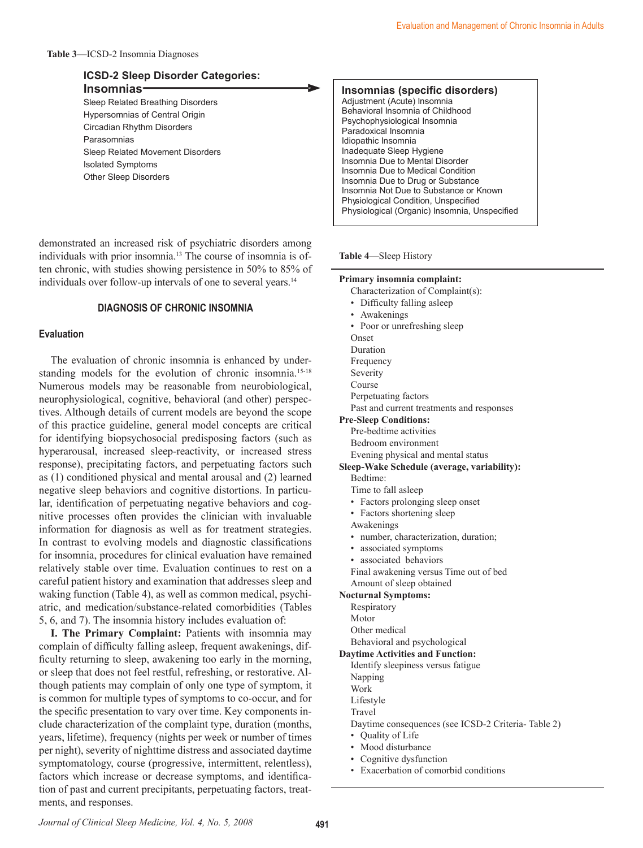#### **Table 3**—ICSD-2 Insomnia Diagnoses

## **ICSD-2 Sleep Disorder Categories: Insomnias**

Sleep Related Breathing Disorders Hypersomnias of Central Origin Circadian Rhythm Disorders Parasomnias Sleep Related Movement Disorders Isolated Symptoms Other Sleep Disorders

demonstrated an increased risk of psychiatric disorders among individuals with prior insomnia.<sup>13</sup> The course of insomnia is often chronic, with studies showing persistence in 50% to 85% of individuals over follow-up intervals of one to several years.<sup>14</sup>

#### **DIAGNOSIS OF CHRONIC INSOMNIA**

## **Evaluation**

The evaluation of chronic insomnia is enhanced by understanding models for the evolution of chronic insomnia.<sup>15-18</sup> Numerous models may be reasonable from neurobiological, neurophysiological, cognitive, behavioral (and other) perspectives. Although details of current models are beyond the scope of this practice guideline, general model concepts are critical for identifying biopsychosocial predisposing factors (such as hyperarousal, increased sleep-reactivity, or increased stress response), precipitating factors, and perpetuating factors such as (1) conditioned physical and mental arousal and (2) learned negative sleep behaviors and cognitive distortions. In particular, identification of perpetuating negative behaviors and cognitive processes often provides the clinician with invaluable information for diagnosis as well as for treatment strategies. In contrast to evolving models and diagnostic classifications for insomnia, procedures for clinical evaluation have remained relatively stable over time. Evaluation continues to rest on a careful patient history and examination that addresses sleep and waking function (Table 4), as well as common medical, psychiatric, and medication/substance-related comorbidities (Tables 5, 6, and 7). The insomnia history includes evaluation of:

**I. The Primary Complaint:** Patients with insomnia may complain of difficulty falling asleep, frequent awakenings, difficulty returning to sleep, awakening too early in the morning, or sleep that does not feel restful, refreshing, or restorative. Although patients may complain of only one type of symptom, it is common for multiple types of symptoms to co-occur, and for the specific presentation to vary over time. Key components include characterization of the complaint type, duration (months, years, lifetime), frequency (nights per week or number of times per night), severity of nighttime distress and associated daytime symptomatology, course (progressive, intermittent, relentless), factors which increase or decrease symptoms, and identification of past and current precipitants, perpetuating factors, treatments, and responses.

**Insomnias (specific disorders)** Adjustment (Acute) Insomnia Behavioral Insomnia of Childhood Psychophysiological Insomnia Paradoxical Insomnia Idiopathic Insomnia Inadequate Sleep Hygiene Insomnia Due to Mental Disorder Insomnia Due to Medical Condition Insomnia Due to Drug or Substance Insomnia Not Due to Substance or Known Physiological Condition, Unspecified Physiological (Organic) Insomnia, Unspecified

#### **Table 4**—Sleep History

**Primary insomnia complaint:**  Characterization of Complaint(s):

- Difficulty falling asleep
- • Awakenings
- Poor or unrefreshing sleep
- Onset
- Duration
- Frequency
- Severity
- Course
- Perpetuating factors
- Past and current treatments and responses
- **Pre-Sleep Conditions:** 
	- Pre-bedtime activities
	- Bedroom environment
	- Evening physical and mental status

**Sleep-Wake Schedule (average, variability):** 

- Bedtime:
- Time to fall asleep
- Factors prolonging sleep onset
- Factors shortening sleep
- Awakenings
- • number, characterization, duration;
- • associated symptoms
- • associated behaviors
- Final awakening versus Time out of bed
- Amount of sleep obtained

#### **Nocturnal Symptoms:**

Respiratory

- Motor
- Other medical
- Behavioral and psychological

## **Daytime Activities and Function:**

- Identify sleepiness versus fatigue
- Napping
- Work
- Lifestyle
- Travel

 Daytime consequences (see ICSD-2 Criteria- Table 2)

- Ouality of Life
- Mood disturbance
- Cognitive dysfunction
- • Exacerbation of comorbid conditions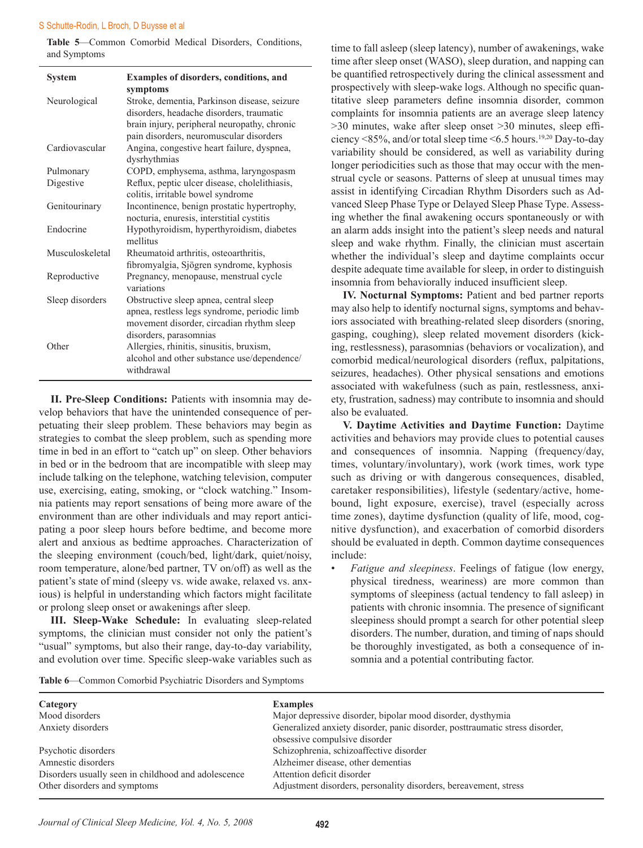**Table 5**—Common Comorbid Medical Disorders, Conditions, and Symptoms

| <b>System</b>   | <b>Examples of disorders, conditions, and</b><br>symptoms                                                                                                                           |  |
|-----------------|-------------------------------------------------------------------------------------------------------------------------------------------------------------------------------------|--|
| Neurological    | Stroke, dementia, Parkinson disease, seizure<br>disorders, headache disorders, traumatic<br>brain injury, peripheral neuropathy, chronic<br>pain disorders, neuromuscular disorders |  |
| Cardiovascular  | Angina, congestive heart failure, dyspnea,<br>dysrhythmias                                                                                                                          |  |
| Pulmonary       | COPD, emphysema, asthma, laryngospasm                                                                                                                                               |  |
| Digestive       | Reflux, peptic ulcer disease, cholelithiasis,<br>colitis, irritable bowel syndrome                                                                                                  |  |
| Genitourinary   | Incontinence, benign prostatic hypertrophy,<br>nocturia, enuresis, interstitial cystitis                                                                                            |  |
| Endocrine       | Hypothyroidism, hyperthyroidism, diabetes<br>mellitus                                                                                                                               |  |
| Musculoskeletal | Rheumatoid arthritis, osteoarthritis,<br>fibromyalgia, Sjögren syndrome, kyphosis                                                                                                   |  |
| Reproductive    | Pregnancy, menopause, menstrual cycle<br>variations                                                                                                                                 |  |
| Sleep disorders | Obstructive sleep apnea, central sleep<br>apnea, restless legs syndrome, periodic limb<br>movement disorder, circadian rhythm sleep<br>disorders, parasomnias                       |  |
| Other           | Allergies, rhinitis, sinusitis, bruxism,<br>alcohol and other substance use/dependence/<br>withdrawal                                                                               |  |

**II. Pre-Sleep Conditions:** Patients with insomnia may develop behaviors that have the unintended consequence of perpetuating their sleep problem. These behaviors may begin as strategies to combat the sleep problem, such as spending more time in bed in an effort to "catch up" on sleep. Other behaviors in bed or in the bedroom that are incompatible with sleep may include talking on the telephone, watching television, computer use, exercising, eating, smoking, or "clock watching." Insomnia patients may report sensations of being more aware of the environment than are other individuals and may report anticipating a poor sleep hours before bedtime, and become more alert and anxious as bedtime approaches. Characterization of the sleeping environment (couch/bed, light/dark, quiet/noisy, room temperature, alone/bed partner, TV on/off) as well as the patient's state of mind (sleepy vs. wide awake, relaxed vs. anxious) is helpful in understanding which factors might facilitate or prolong sleep onset or awakenings after sleep.

**III. Sleep-Wake Schedule:** In evaluating sleep-related symptoms, the clinician must consider not only the patient's "usual" symptoms, but also their range, day-to-day variability, and evolution over time. Specific sleep-wake variables such as

time to fall asleep (sleep latency), number of awakenings, wake time after sleep onset (WASO), sleep duration, and napping can be quantified retrospectively during the clinical assessment and prospectively with sleep-wake logs. Although no specific quantitative sleep parameters define insomnia disorder, common complaints for insomnia patients are an average sleep latency >30 minutes, wake after sleep onset >30 minutes, sleep efficiency <85%, and/or total sleep time <6.5 hours.19,20 Day-to-day variability should be considered, as well as variability during longer periodicities such as those that may occur with the menstrual cycle or seasons. Patterns of sleep at unusual times may assist in identifying Circadian Rhythm Disorders such as Advanced Sleep Phase Type or Delayed Sleep Phase Type. Assessing whether the final awakening occurs spontaneously or with an alarm adds insight into the patient's sleep needs and natural sleep and wake rhythm. Finally, the clinician must ascertain whether the individual's sleep and daytime complaints occur despite adequate time available for sleep, in order to distinguish insomnia from behaviorally induced insufficient sleep.

**IV. Nocturnal Symptoms:** Patient and bed partner reports may also help to identify nocturnal signs, symptoms and behaviors associated with breathing-related sleep disorders (snoring, gasping, coughing), sleep related movement disorders (kicking, restlessness), parasomnias (behaviors or vocalization), and comorbid medical/neurological disorders (reflux, palpitations, seizures, headaches). Other physical sensations and emotions associated with wakefulness (such as pain, restlessness, anxiety, frustration, sadness) may contribute to insomnia and should also be evaluated.

**V. Daytime Activities and Daytime Function:** Daytime activities and behaviors may provide clues to potential causes and consequences of insomnia. Napping (frequency/day, times, voluntary/involuntary), work (work times, work type such as driving or with dangerous consequences, disabled, caretaker responsibilities), lifestyle (sedentary/active, homebound, light exposure, exercise), travel (especially across time zones), daytime dysfunction (quality of life, mood, cognitive dysfunction), and exacerbation of comorbid disorders should be evaluated in depth. Common daytime consequences include:

*Fatigue and sleepiness*. Feelings of fatigue (low energy, physical tiredness, weariness) are more common than symptoms of sleepiness (actual tendency to fall asleep) in patients with chronic insomnia. The presence of significant sleepiness should prompt a search for other potential sleep disorders. The number, duration, and timing of naps should be thoroughly investigated, as both a consequence of insomnia and a potential contributing factor.

**Table 6**—Common Comorbid Psychiatric Disorders and Symptoms

| Category                                            | <b>Examples</b>                                                              |
|-----------------------------------------------------|------------------------------------------------------------------------------|
| Mood disorders                                      | Major depressive disorder, bipolar mood disorder, dysthymia                  |
| Anxiety disorders                                   | Generalized anxiety disorder, panic disorder, posttraumatic stress disorder, |
|                                                     | obsessive compulsive disorder                                                |
| Psychotic disorders                                 | Schizophrenia, schizoaffective disorder                                      |
| Amnestic disorders                                  | Alzheimer disease, other dementias                                           |
| Disorders usually seen in childhood and adolescence | Attention deficit disorder                                                   |
| Other disorders and symptoms                        | Adjustment disorders, personality disorders, bereavement, stress             |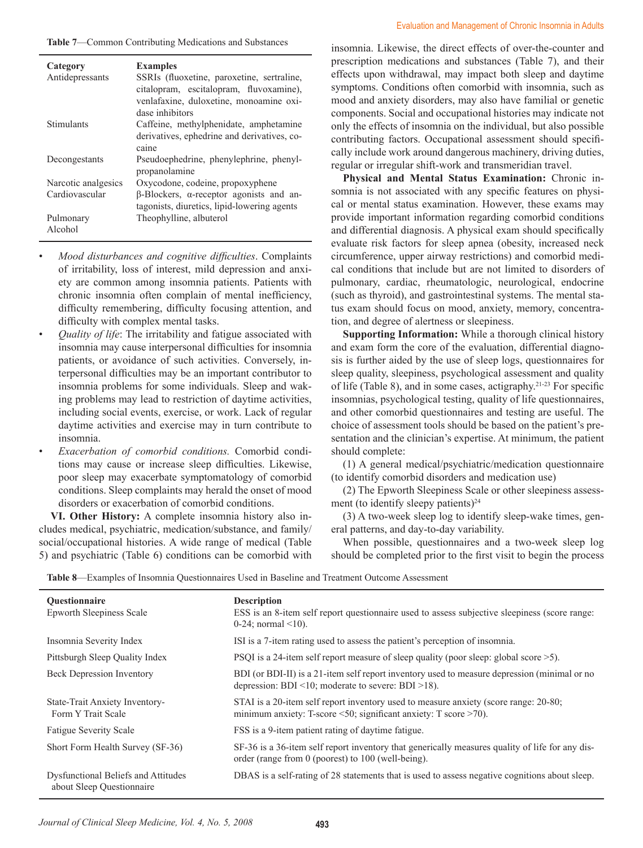**Table 7**—Common Contributing Medications and Substances

| Category<br>Antidepressants | <b>Examples</b><br>SSRIs (fluoxetine, paroxetine, sertraline,<br>citalopram, escitalopram, fluvoxamine),<br>venlafaxine, duloxetine, monoamine oxi-<br>dase inhibitors |  |
|-----------------------------|------------------------------------------------------------------------------------------------------------------------------------------------------------------------|--|
| Stimulants                  | Caffeine, methylphenidate, amphetamine<br>derivatives, ephedrine and derivatives, co-<br>caine                                                                         |  |
| Decongestants               | Pseudoephedrine, phenylephrine, phenyl-<br>propanolamine                                                                                                               |  |
| Narcotic analgesics         | Oxycodone, codeine, propoxyphene                                                                                                                                       |  |
| Cardiovascular              | $\beta$ -Blockers, $\alpha$ -receptor agonists and an-<br>tagonists, diuretics, lipid-lowering agents                                                                  |  |
| Pulmonary<br>Alcohol        | Theophylline, albuterol                                                                                                                                                |  |

- • *Mood disturbances and cognitive difficulties*. Complaints of irritability, loss of interest, mild depression and anxiety are common among insomnia patients. Patients with chronic insomnia often complain of mental inefficiency, difficulty remembering, difficulty focusing attention, and difficulty with complex mental tasks.
- Quality of life: The irritability and fatigue associated with insomnia may cause interpersonal difficulties for insomnia patients, or avoidance of such activities. Conversely, interpersonal difficulties may be an important contributor to insomnia problems for some individuals. Sleep and waking problems may lead to restriction of daytime activities, including social events, exercise, or work. Lack of regular daytime activities and exercise may in turn contribute to insomnia.
- Exacerbation of comorbid conditions. Comorbid conditions may cause or increase sleep difficulties. Likewise, poor sleep may exacerbate symptomatology of comorbid conditions. Sleep complaints may herald the onset of mood disorders or exacerbation of comorbid conditions.

**VI. Other History:** A complete insomnia history also includes medical, psychiatric, medication/substance, and family/ social/occupational histories. A wide range of medical (Table 5) and psychiatric (Table 6) conditions can be comorbid with

insomnia. Likewise, the direct effects of over-the-counter and prescription medications and substances (Table 7), and their effects upon withdrawal, may impact both sleep and daytime symptoms. Conditions often comorbid with insomnia, such as mood and anxiety disorders, may also have familial or genetic components. Social and occupational histories may indicate not only the effects of insomnia on the individual, but also possible contributing factors. Occupational assessment should specifically include work around dangerous machinery, driving duties, regular or irregular shift-work and transmeridian travel.

**Physical and Mental Status Examination:** Chronic insomnia is not associated with any specific features on physical or mental status examination. However, these exams may provide important information regarding comorbid conditions and differential diagnosis. A physical exam should specifically evaluate risk factors for sleep apnea (obesity, increased neck circumference, upper airway restrictions) and comorbid medical conditions that include but are not limited to disorders of pulmonary, cardiac, rheumatologic, neurological, endocrine (such as thyroid), and gastrointestinal systems. The mental status exam should focus on mood, anxiety, memory, concentration, and degree of alertness or sleepiness.

**Supporting Information:** While a thorough clinical history and exam form the core of the evaluation, differential diagnosis is further aided by the use of sleep logs, questionnaires for sleep quality, sleepiness, psychological assessment and quality of life (Table 8), and in some cases, actigraphy.21-23 For specific insomnias, psychological testing, quality of life questionnaires, and other comorbid questionnaires and testing are useful. The choice of assessment tools should be based on the patient's presentation and the clinician's expertise. At minimum, the patient should complete:

(1) A general medical/psychiatric/medication questionnaire (to identify comorbid disorders and medication use)

(2) The Epworth Sleepiness Scale or other sleepiness assessment (to identify sleepy patients) $24$ 

(3) A two-week sleep log to identify sleep-wake times, general patterns, and day-to-day variability.

When possible, questionnaires and a two-week sleep log should be completed prior to the first visit to begin the process

| <b>Ouestionnaire</b><br><b>Epworth Sleepiness Scale</b>                 | <b>Description</b><br>ESS is an 8-item self report questionnaire used to assess subjective sleepiness (score range:<br>0-24; normal $\leq 10$ ).                     |  |
|-------------------------------------------------------------------------|----------------------------------------------------------------------------------------------------------------------------------------------------------------------|--|
| Insomnia Severity Index                                                 | ISI is a 7-item rating used to assess the patient's perception of insomnia.                                                                                          |  |
| Pittsburgh Sleep Quality Index                                          | PSQI is a 24-item self report measure of sleep quality (poor sleep: global score >5).                                                                                |  |
| <b>Beck Depression Inventory</b>                                        | BDI (or BDI-II) is a 21-item self report inventory used to measure depression (minimal or no<br>depression: BDI <10; moderate to severe: BDI >18).                   |  |
| State-Trait Anxiety Inventory-<br>Form Y Trait Scale                    | STAI is a 20-item self report inventory used to measure anxiety (score range: 20-80;<br>minimum anxiety: T-score $\leq$ 50; significant anxiety: T score $\geq$ 70). |  |
| <b>Fatigue Severity Scale</b>                                           | FSS is a 9-item patient rating of daytime fatigue.                                                                                                                   |  |
| Short Form Health Survey (SF-36)                                        | SF-36 is a 36-item self report inventory that generically measures quality of life for any dis-<br>order (range from 0 (poorest) to 100 (well-being).                |  |
| <b>Dysfunctional Beliefs and Attitudes</b><br>about Sleep Questionnaire | DBAS is a self-rating of 28 statements that is used to assess negative cognitions about sleep.                                                                       |  |

**Table 8**—Examples of Insomnia Questionnaires Used in Baseline and Treatment Outcome Assessment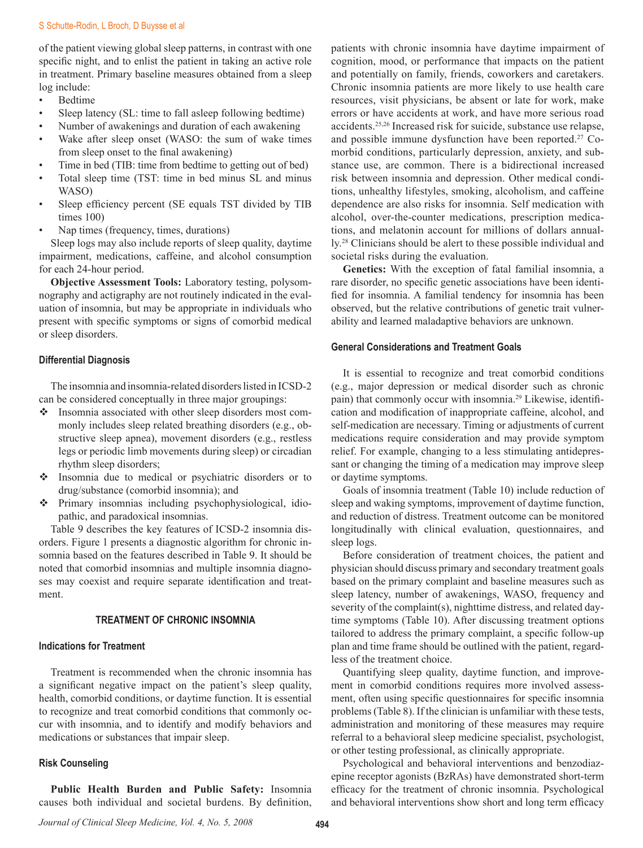of the patient viewing global sleep patterns, in contrast with one specific night, and to enlist the patient in taking an active role in treatment. Primary baseline measures obtained from a sleep log include:

- **Bedtime**
- Sleep latency (SL: time to fall asleep following bedtime)
- Number of awakenings and duration of each awakening
- Wake after sleep onset (WASO: the sum of wake times from sleep onset to the final awakening)
- Time in bed (TIB: time from bedtime to getting out of bed)
- Total sleep time (TST: time in bed minus SL and minus WASO)
- Sleep efficiency percent (SE equals TST divided by TIB times 100)
- Nap times (frequency, times, durations)

Sleep logs may also include reports of sleep quality, daytime impairment, medications, caffeine, and alcohol consumption for each 24-hour period.

**Objective Assessment Tools:** Laboratory testing, polysomnography and actigraphy are not routinely indicated in the evaluation of insomnia, but may be appropriate in individuals who present with specific symptoms or signs of comorbid medical or sleep disorders.

## **Differential Diagnosis**

The insomnia and insomnia-related disorders listed in ICSD-2 can be considered conceptually in three major groupings:

- \* Insomnia associated with other sleep disorders most commonly includes sleep related breathing disorders (e.g., obstructive sleep apnea), movement disorders (e.g., restless legs or periodic limb movements during sleep) or circadian rhythm sleep disorders;
- Insomnia due to medical or psychiatric disorders or to drug/substance (comorbid insomnia); and
- Primary insomnias including psychophysiological, idiopathic, and paradoxical insomnias.

Table 9 describes the key features of ICSD-2 insomnia disorders. Figure 1 presents a diagnostic algorithm for chronic insomnia based on the features described in Table 9. It should be noted that comorbid insomnias and multiple insomnia diagnoses may coexist and require separate identification and treatment.

## **Treatment of chronic insomnia**

### **Indications for Treatment**

Treatment is recommended when the chronic insomnia has a significant negative impact on the patient's sleep quality, health, comorbid conditions, or daytime function. It is essential to recognize and treat comorbid conditions that commonly occur with insomnia, and to identify and modify behaviors and medications or substances that impair sleep.

#### **Risk Counseling**

**Public Health Burden and Public Safety:** Insomnia causes both individual and societal burdens. By definition,

patients with chronic insomnia have daytime impairment of cognition, mood, or performance that impacts on the patient and potentially on family, friends, coworkers and caretakers. Chronic insomnia patients are more likely to use health care resources, visit physicians, be absent or late for work, make errors or have accidents at work, and have more serious road accidents.25,26 Increased risk for suicide, substance use relapse, and possible immune dysfunction have been reported.<sup>27</sup> Comorbid conditions, particularly depression, anxiety, and substance use, are common. There is a bidirectional increased risk between insomnia and depression. Other medical conditions, unhealthy lifestyles, smoking, alcoholism, and caffeine dependence are also risks for insomnia. Self medication with alcohol, over-the-counter medications, prescription medications, and melatonin account for millions of dollars annually.<sup>28</sup> Clinicians should be alert to these possible individual and societal risks during the evaluation.

**Genetics:** With the exception of fatal familial insomnia, a rare disorder, no specific genetic associations have been identified for insomnia. A familial tendency for insomnia has been observed, but the relative contributions of genetic trait vulnerability and learned maladaptive behaviors are unknown.

## **General Considerations and Treatment Goals**

It is essential to recognize and treat comorbid conditions (e.g., major depression or medical disorder such as chronic pain) that commonly occur with insomnia.<sup>29</sup> Likewise, identification and modification of inappropriate caffeine, alcohol, and self-medication are necessary. Timing or adjustments of current medications require consideration and may provide symptom relief. For example, changing to a less stimulating antidepressant or changing the timing of a medication may improve sleep or daytime symptoms.

Goals of insomnia treatment (Table 10) include reduction of sleep and waking symptoms, improvement of daytime function, and reduction of distress. Treatment outcome can be monitored longitudinally with clinical evaluation, questionnaires, and sleep logs.

Before consideration of treatment choices, the patient and physician should discuss primary and secondary treatment goals based on the primary complaint and baseline measures such as sleep latency, number of awakenings, WASO, frequency and severity of the complaint(s), nighttime distress, and related daytime symptoms (Table 10). After discussing treatment options tailored to address the primary complaint, a specific follow-up plan and time frame should be outlined with the patient, regardless of the treatment choice.

Quantifying sleep quality, daytime function, and improvement in comorbid conditions requires more involved assessment, often using specific questionnaires for specific insomnia problems(Table 8). If the clinician is unfamiliar with these tests, administration and monitoring of these measures may require referral to a behavioral sleep medicine specialist, psychologist, or other testing professional, as clinically appropriate.

Psychological and behavioral interventions and benzodiazepine receptor agonists (BzRAs) have demonstrated short-term efficacy for the treatment of chronic insomnia. Psychological and behavioral interventions show short and long term efficacy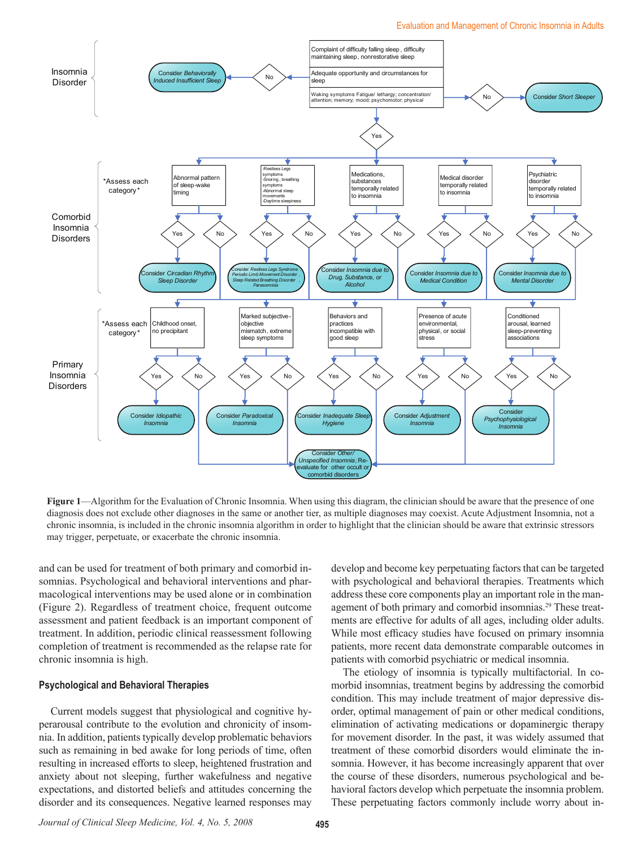

**Figure 1**—Algorithm for the Evaluation of Chronic Insomnia. When using this diagram, the clinician should be aware that the presence of one diagnosis does not exclude other diagnoses in the same or another tier, as multiple diagnoses may coexist. Acute Adjustment Insomnia, not a chronic insomnia, is included in the chronic insomnia algorithm in order to highlight that the clinician should be aware that extrinsic stressors may trigger, perpetuate, or exacerbate the chronic insomnia.

and can be used for treatment of both primary and comorbid insomnias. Psychological and behavioral interventions and pharmacological interventions may be used alone or in combination (Figure 2). Regardless of treatment choice, frequent outcome assessment and patient feedback is an important component of treatment. In addition, periodic clinical reassessment following completion of treatment is recommended as the relapse rate for chronic insomnia is high.

## **Psychological and Behavioral Therapies**

Current models suggest that physiological and cognitive hyperarousal contribute to the evolution and chronicity of insomnia. In addition, patients typically develop problematic behaviors such as remaining in bed awake for long periods of time, often resulting in increased efforts to sleep, heightened frustration and anxiety about not sleeping, further wakefulness and negative expectations, and distorted beliefs and attitudes concerning the disorder and its consequences. Negative learned responses may

develop and become key perpetuating factors that can be targeted with psychological and behavioral therapies. Treatments which address these core components play an important role in the management of both primary and comorbid insomnias.<sup>29</sup> These treatments are effective for adults of all ages, including older adults. While most efficacy studies have focused on primary insomnia patients, more recent data demonstrate comparable outcomes in patients with comorbid psychiatric or medical insomnia.

The etiology of insomnia is typically multifactorial. In comorbid insomnias, treatment begins by addressing the comorbid condition. This may include treatment of major depressive disorder, optimal management of pain or other medical conditions, elimination of activating medications or dopaminergic therapy for movement disorder. In the past, it was widely assumed that treatment of these comorbid disorders would eliminate the insomnia. However, it has become increasingly apparent that over the course of these disorders, numerous psychological and behavioral factors develop which perpetuate the insomnia problem. These perpetuating factors commonly include worry about in-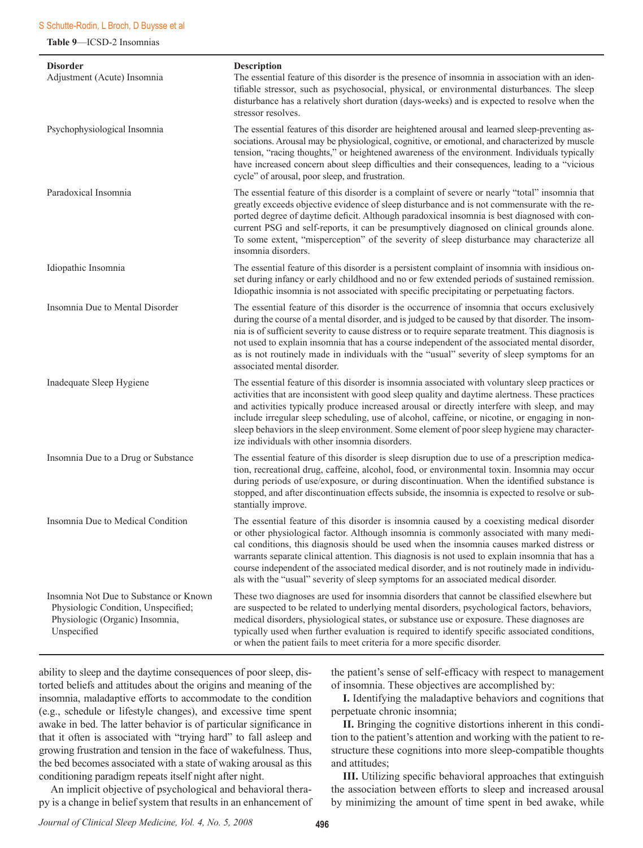**Table 9**—ICSD-2 Insomnias

| <b>Disorder</b><br>Adjustment (Acute) Insomnia                                                                                  | Description<br>The essential feature of this disorder is the presence of insomnia in association with an iden-<br>tifiable stressor, such as psychosocial, physical, or environmental disturbances. The sleep<br>disturbance has a relatively short duration (days-weeks) and is expected to resolve when the<br>stressor resolves.                                                                                                                                                                                                                                           |
|---------------------------------------------------------------------------------------------------------------------------------|-------------------------------------------------------------------------------------------------------------------------------------------------------------------------------------------------------------------------------------------------------------------------------------------------------------------------------------------------------------------------------------------------------------------------------------------------------------------------------------------------------------------------------------------------------------------------------|
| Psychophysiological Insomnia                                                                                                    | The essential features of this disorder are heightened arousal and learned sleep-preventing as-<br>sociations. Arousal may be physiological, cognitive, or emotional, and characterized by muscle<br>tension, "racing thoughts," or heightened awareness of the environment. Individuals typically<br>have increased concern about sleep difficulties and their consequences, leading to a "vicious<br>cycle" of arousal, poor sleep, and frustration.                                                                                                                        |
| Paradoxical Insomnia                                                                                                            | The essential feature of this disorder is a complaint of severe or nearly "total" insomnia that<br>greatly exceeds objective evidence of sleep disturbance and is not commensurate with the re-<br>ported degree of daytime deficit. Although paradoxical insomnia is best diagnosed with con-<br>current PSG and self-reports, it can be presumptively diagnosed on clinical grounds alone.<br>To some extent, "misperception" of the severity of sleep disturbance may characterize all<br>insomnia disorders.                                                              |
| Idiopathic Insomnia                                                                                                             | The essential feature of this disorder is a persistent complaint of insomnia with insidious on-<br>set during infancy or early childhood and no or few extended periods of sustained remission.<br>Idiopathic insomnia is not associated with specific precipitating or perpetuating factors.                                                                                                                                                                                                                                                                                 |
| Insomnia Due to Mental Disorder                                                                                                 | The essential feature of this disorder is the occurrence of insomnia that occurs exclusively<br>during the course of a mental disorder, and is judged to be caused by that disorder. The insom-<br>nia is of sufficient severity to cause distress or to require separate treatment. This diagnosis is<br>not used to explain insomnia that has a course independent of the associated mental disorder,<br>as is not routinely made in individuals with the "usual" severity of sleep symptoms for an<br>associated mental disorder.                                          |
| Inadequate Sleep Hygiene                                                                                                        | The essential feature of this disorder is insomnia associated with voluntary sleep practices or<br>activities that are inconsistent with good sleep quality and daytime alertness. These practices<br>and activities typically produce increased arousal or directly interfere with sleep, and may<br>include irregular sleep scheduling, use of alcohol, caffeine, or nicotine, or engaging in non-<br>sleep behaviors in the sleep environment. Some element of poor sleep hygiene may character-<br>ize individuals with other insomnia disorders.                         |
| Insomnia Due to a Drug or Substance                                                                                             | The essential feature of this disorder is sleep disruption due to use of a prescription medica-<br>tion, recreational drug, caffeine, alcohol, food, or environmental toxin. Insomnia may occur<br>during periods of use/exposure, or during discontinuation. When the identified substance is<br>stopped, and after discontinuation effects subside, the insomnia is expected to resolve or sub-<br>stantially improve.                                                                                                                                                      |
| Insomnia Due to Medical Condition                                                                                               | The essential feature of this disorder is insomnia caused by a coexisting medical disorder<br>or other physiological factor. Although insomnia is commonly associated with many medi-<br>cal conditions, this diagnosis should be used when the insomnia causes marked distress or<br>warrants separate clinical attention. This diagnosis is not used to explain insomnia that has a<br>course independent of the associated medical disorder, and is not routinely made in individu-<br>als with the "usual" severity of sleep symptoms for an associated medical disorder. |
| Insomnia Not Due to Substance or Known<br>Physiologic Condition, Unspecified;<br>Physiologic (Organic) Insomnia,<br>Unspecified | These two diagnoses are used for insomnia disorders that cannot be classified elsewhere but<br>are suspected to be related to underlying mental disorders, psychological factors, behaviors,<br>medical disorders, physiological states, or substance use or exposure. These diagnoses are<br>typically used when further evaluation is required to identify specific associated conditions,<br>or when the patient fails to meet criteria for a more specific disorder.                                                                                                      |

ability to sleep and the daytime consequences of poor sleep, distorted beliefs and attitudes about the origins and meaning of the insomnia, maladaptive efforts to accommodate to the condition (e.g., schedule or lifestyle changes), and excessive time spent awake in bed. The latter behavior is of particular significance in that it often is associated with "trying hard" to fall asleep and growing frustration and tension in the face of wakefulness. Thus, the bed becomes associated with a state of waking arousal as this conditioning paradigm repeats itself night after night.

An implicit objective of psychological and behavioral therapy is a change in belief system that results in an enhancement of

the patient's sense of self-efficacy with respect to management of insomnia. These objectives are accomplished by:

**I.** Identifying the maladaptive behaviors and cognitions that perpetuate chronic insomnia;

**II.** Bringing the cognitive distortions inherent in this condition to the patient's attention and working with the patient to restructure these cognitions into more sleep-compatible thoughts and attitudes;

**III.** Utilizing specific behavioral approaches that extinguish the association between efforts to sleep and increased arousal by minimizing the amount of time spent in bed awake, while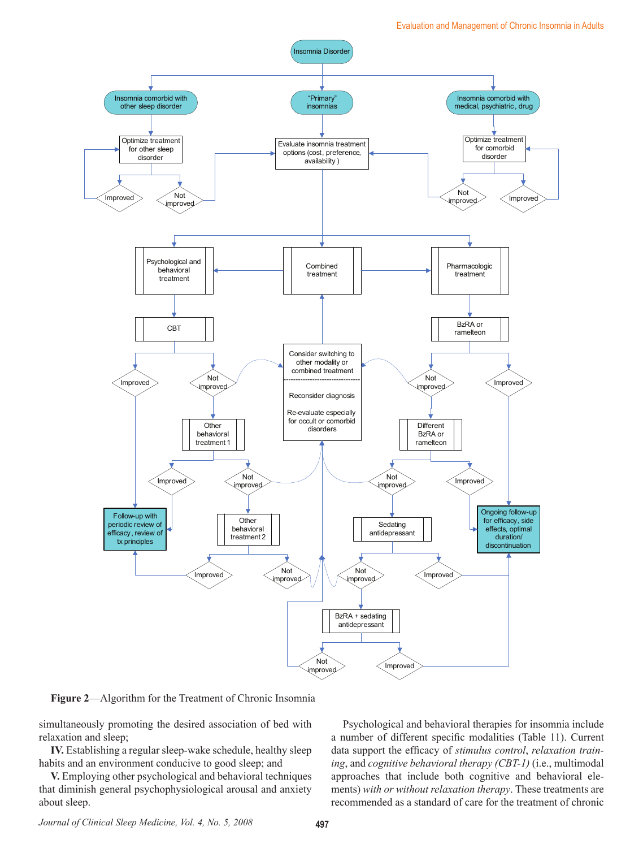

**Figure 2**—Algorithm for the Treatment of Chronic Insomnia

simultaneously promoting the desired association of bed with relaxation and sleep;

**IV.** Establishing a regular sleep-wake schedule, healthy sleep habits and an environment conducive to good sleep; and

**V.** Employing other psychological and behavioral techniques that diminish general psychophysiological arousal and anxiety about sleep.

Psychological and behavioral therapies for insomnia include a number of different specific modalities (Table 11). Current data support the efficacy of *stimulus control*, *relaxation training*, and *cognitive behavioral therapy (CBT-1)* (i.e., multimodal approaches that include both cognitive and behavioral elements) *with or without relaxation therapy*. These treatments are recommended as a standard of care for the treatment of chronic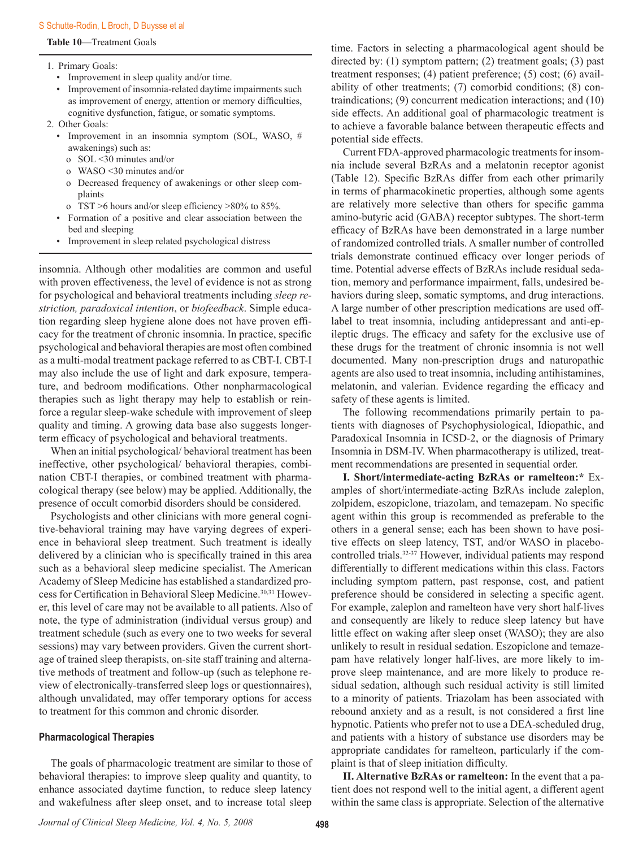**Table 10**—Treatment Goals

- 1. Primary Goals:
	- Improvement in sleep quality and/or time.
	- Improvement of insomnia-related daytime impairments such as improvement of energy, attention or memory difficulties, cognitive dysfunction, fatigue, or somatic symptoms.
- 2. Other Goals:
	- • Improvement in an insomnia symptom (SOL, WASO, # awakenings) such as:
		- o SOL <30 minutes and/or
		- o WASO  $\leq$ 30 minutes and/or
		- o Decreased frequency of awakenings or other sleep complaints
		- o  $TST > 6$  hours and/or sleep efficiency  $> 80\%$  to 85%.
	- • Formation of a positive and clear association between the bed and sleeping
	- • Improvement in sleep related psychological distress

insomnia. Although other modalities are common and useful with proven effectiveness, the level of evidence is not as strong for psychological and behavioral treatments including *sleep restriction, paradoxical intention*, or *biofeedback*. Simple education regarding sleep hygiene alone does not have proven efficacy for the treatment of chronic insomnia. In practice, specific psychological and behavioral therapies are most often combined as a multi-modal treatment package referred to as CBT-I. CBT-I may also include the use of light and dark exposure, temperature, and bedroom modifications. Other nonpharmacological therapies such as light therapy may help to establish or reinforce a regular sleep-wake schedule with improvement of sleep quality and timing. A growing data base also suggests longerterm efficacy of psychological and behavioral treatments.

When an initial psychological/ behavioral treatment has been ineffective, other psychological/ behavioral therapies, combination CBT-I therapies, or combined treatment with pharmacological therapy (see below) may be applied. Additionally, the presence of occult comorbid disorders should be considered.

Psychologists and other clinicians with more general cognitive-behavioral training may have varying degrees of experience in behavioral sleep treatment. Such treatment is ideally delivered by a clinician who is specifically trained in this area such as a behavioral sleep medicine specialist. The American Academy of Sleep Medicine has established a standardized process for Certification in Behavioral Sleep Medicine.<sup>30,31</sup> However, this level of care may not be available to all patients. Also of note, the type of administration (individual versus group) and treatment schedule (such as every one to two weeks for several sessions) may vary between providers. Given the current shortage of trained sleep therapists, on-site staff training and alternative methods of treatment and follow-up (such as telephone review of electronically-transferred sleep logs or questionnaires), although unvalidated, may offer temporary options for access to treatment for this common and chronic disorder.

#### **Pharmacological Therapies**

The goals of pharmacologic treatment are similar to those of behavioral therapies: to improve sleep quality and quantity, to enhance associated daytime function, to reduce sleep latency and wakefulness after sleep onset, and to increase total sleep

time. Factors in selecting a pharmacological agent should be directed by: (1) symptom pattern; (2) treatment goals; (3) past treatment responses; (4) patient preference; (5) cost; (6) availability of other treatments; (7) comorbid conditions; (8) contraindications; (9) concurrent medication interactions; and (10) side effects. An additional goal of pharmacologic treatment is to achieve a favorable balance between therapeutic effects and potential side effects.

Current FDA-approved pharmacologic treatments for insomnia include several BzRAs and a melatonin receptor agonist (Table 12). Specific BzRAs differ from each other primarily in terms of pharmacokinetic properties, although some agents are relatively more selective than others for specific gamma amino-butyric acid (GABA) receptor subtypes. The short-term efficacy of BzRAs have been demonstrated in a large number of randomized controlled trials. A smaller number of controlled trials demonstrate continued efficacy over longer periods of time. Potential adverse effects of BzRAs include residual sedation, memory and performance impairment, falls, undesired behaviors during sleep, somatic symptoms, and drug interactions. A large number of other prescription medications are used offlabel to treat insomnia, including antidepressant and anti-epileptic drugs. The efficacy and safety for the exclusive use of these drugs for the treatment of chronic insomnia is not well documented. Many non-prescription drugs and naturopathic agents are also used to treat insomnia, including antihistamines, melatonin, and valerian. Evidence regarding the efficacy and safety of these agents is limited.

The following recommendations primarily pertain to patients with diagnoses of Psychophysiological, Idiopathic, and Paradoxical Insomnia in ICSD-2, or the diagnosis of Primary Insomnia in DSM-IV. When pharmacotherapy is utilized, treatment recommendations are presented in sequential order.

**I. Short/intermediate-acting BzRAs or ramelteon:\*** Examples of short/intermediate-acting BzRAs include zaleplon, zolpidem, eszopiclone, triazolam, and temazepam. No specific agent within this group is recommended as preferable to the others in a general sense; each has been shown to have positive effects on sleep latency, TST, and/or WASO in placebocontrolled trials.<sup>32-37</sup> However, individual patients may respond differentially to different medications within this class. Factors including symptom pattern, past response, cost, and patient preference should be considered in selecting a specific agent. For example, zaleplon and ramelteon have very short half-lives and consequently are likely to reduce sleep latency but have little effect on waking after sleep onset (WASO); they are also unlikely to result in residual sedation. Eszopiclone and temazepam have relatively longer half-lives, are more likely to improve sleep maintenance, and are more likely to produce residual sedation, although such residual activity is still limited to a minority of patients. Triazolam has been associated with rebound anxiety and as a result, is not considered a first line hypnotic. Patients who prefer not to use a DEA-scheduled drug, and patients with a history of substance use disorders may be appropriate candidates for ramelteon, particularly if the complaint is that of sleep initiation difficulty.

**II. Alternative BzRAs or ramelteon:** In the event that a patient does not respond well to the initial agent, a different agent within the same class is appropriate. Selection of the alternative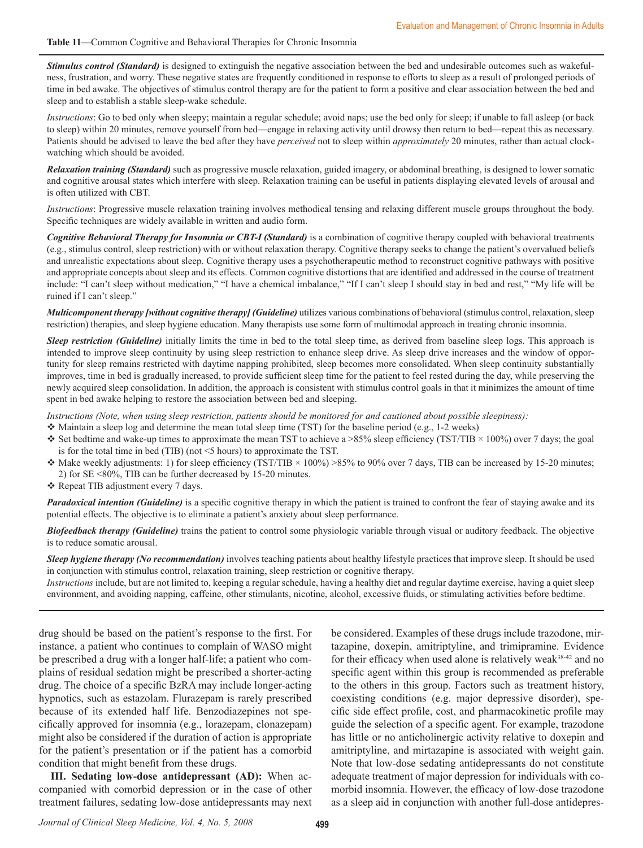**Stimulus control (Standard)** is designed to extinguish the negative association between the bed and undesirable outcomes such as wakefulness, frustration, and worry. These negative states are frequently conditioned in response to efforts to sleep as a result of prolonged periods of time in bed awake. The objectives of stimulus control therapy are for the patient to form a positive and clear association between the bed and sleep and to establish a stable sleep-wake schedule.

*Instructions*: Go to bed only when sleepy; maintain a regular schedule; avoid naps; use the bed only for sleep; if unable to fall asleep (or back to sleep) within 20 minutes, remove yourself from bed—engage in relaxing activity until drowsy then return to bed—repeat this as necessary. Patients should be advised to leave the bed after they have *perceived* not to sleep within *approximately* 20 minutes, rather than actual clockwatching which should be avoided.

*Relaxation training (Standard)* such as progressive muscle relaxation, guided imagery, or abdominal breathing, is designed to lower somatic and cognitive arousal states which interfere with sleep. Relaxation training can be useful in patients displaying elevated levels of arousal and is often utilized with CBT.

*Instructions*: Progressive muscle relaxation training involves methodical tensing and relaxing different muscle groups throughout the body. Specific techniques are widely available in written and audio form.

*Cognitive Behavioral Therapy for Insomnia or CBT-I (Standard)* is a combination of cognitive therapy coupled with behavioral treatments (e.g., stimulus control, sleep restriction) with or without relaxation therapy. Cognitive therapy seeks to change the patient's overvalued beliefs and unrealistic expectations about sleep. Cognitive therapy uses a psychotherapeutic method to reconstruct cognitive pathways with positive and appropriate concepts about sleep and its effects. Common cognitive distortions that are identified and addressed in the course of treatment include: "I can't sleep without medication," "I have a chemical imbalance," "If I can't sleep I should stay in bed and rest," "My life will be ruined if I can't sleep."

*Multicomponent therapy [without cognitive therapy] (Guideline)* utilizes various combinations of behavioral (stimulus control, relaxation, sleep restriction) therapies, and sleep hygiene education. Many therapists use some form of multimodal approach in treating chronic insomnia.

*Sleep restriction (Guideline)* initially limits the time in bed to the total sleep time, as derived from baseline sleep logs. This approach is intended to improve sleep continuity by using sleep restriction to enhance sleep drive. As sleep drive increases and the window of opportunity for sleep remains restricted with daytime napping prohibited, sleep becomes more consolidated. When sleep continuity substantially improves, time in bed is gradually increased, to provide sufficient sleep time for the patient to feel rested during the day, while preserving the newly acquired sleep consolidation. In addition, the approach is consistent with stimulus control goals in that it minimizes the amount of time spent in bed awake helping to restore the association between bed and sleeping.

*Instructions (Note, when using sleep restriction, patients should be monitored for and cautioned about possible sleepiness):*

- $\triangleq$  Maintain a sleep log and determine the mean total sleep time (TST) for the baseline period (e.g., 1-2 weeks)
- Set bedtime and wake-up times to approximate the mean TST to achieve a >85% sleep efficiency (TST/TIB × 100%) over 7 days; the goal is for the total time in bed (TIB) (not <5 hours) to approximate the TST.
- $\bullet$  Make weekly adjustments: 1) for sleep efficiency (TST/TIB × 100%) >85% to 90% over 7 days, TIB can be increased by 15-20 minutes; 2) for SE <80%, TIB can be further decreased by 15-20 minutes.
- Repeat TIB adjustment every 7 days.

*Paradoxical intention (Guideline)* is a specific cognitive therapy in which the patient is trained to confront the fear of staying awake and its potential effects. The objective is to eliminate a patient's anxiety about sleep performance.

*Biofeedback therapy (Guideline)* trains the patient to control some physiologic variable through visual or auditory feedback. The objective is to reduce somatic arousal.

*Sleep hygiene therapy (No recommendation)* involves teaching patients about healthy lifestyle practices that improve sleep. It should be used in conjunction with stimulus control, relaxation training, sleep restriction or cognitive therapy.

*Instructions* include, but are not limited to, keeping a regular schedule, having a healthy diet and regular daytime exercise, having a quiet sleep environment, and avoiding napping, caffeine, other stimulants, nicotine, alcohol, excessive fluids, or stimulating activities before bedtime.

drug should be based on the patient's response to the first. For instance, a patient who continues to complain of WASO might be prescribed a drug with a longer half-life; a patient who complains of residual sedation might be prescribed a shorter-acting drug. The choice of a specific BzRA may include longer-acting hypnotics, such as estazolam. Flurazepam is rarely prescribed because of its extended half life. Benzodiazepines not specifically approved for insomnia (e.g., lorazepam, clonazepam) might also be considered if the duration of action is appropriate for the patient's presentation or if the patient has a comorbid condition that might benefit from these drugs.

**III. Sedating low-dose antidepressant (AD):** When accompanied with comorbid depression or in the case of other treatment failures, sedating low-dose antidepressants may next

be considered. Examples of these drugs include trazodone, mirtazapine, doxepin, amitriptyline, and trimipramine. Evidence for their efficacy when used alone is relatively weak<sup>38-42</sup> and no specific agent within this group is recommended as preferable to the others in this group. Factors such as treatment history, coexisting conditions (e.g. major depressive disorder), specific side effect profile, cost, and pharmacokinetic profile may guide the selection of a specific agent. For example, trazodone has little or no anticholinergic activity relative to doxepin and amitriptyline, and mirtazapine is associated with weight gain. Note that low-dose sedating antidepressants do not constitute adequate treatment of major depression for individuals with comorbid insomnia. However, the efficacy of low-dose trazodone as a sleep aid in conjunction with another full-dose antidepres-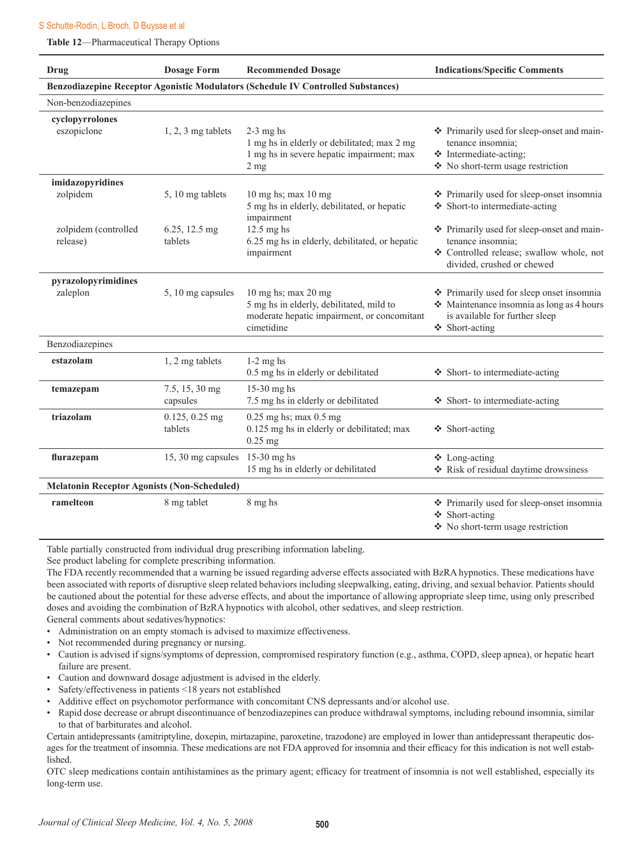**Table 12**—Pharmaceutical Therapy Options

| Drug                                               | <b>Dosage Form</b>             | <b>Recommended Dosage</b>                                                                                                    | <b>Indications/Specific Comments</b>                                                                                                            |
|----------------------------------------------------|--------------------------------|------------------------------------------------------------------------------------------------------------------------------|-------------------------------------------------------------------------------------------------------------------------------------------------|
|                                                    |                                | Benzodiazepine Receptor Agonistic Modulators (Schedule IV Controlled Substances)                                             |                                                                                                                                                 |
| Non-benzodiazepines                                |                                |                                                                                                                              |                                                                                                                                                 |
| cyclopyrrolones<br>eszopiclone                     | $1, 2, 3$ mg tablets           | $2-3$ mg hs<br>1 mg hs in elderly or debilitated; max 2 mg<br>1 mg hs in severe hepatic impairment; max<br>2 <sub>mg</sub>   | ❖ Primarily used for sleep-onset and main-<br>tenance insomnia;<br>❖ Intermediate-acting;<br>❖ No short-term usage restriction                  |
| imidazopyridines                                   |                                |                                                                                                                              |                                                                                                                                                 |
| zolpidem                                           | 5, 10 mg tablets               | 10 mg hs; max $10$ mg<br>5 mg hs in elderly, debilitated, or hepatic<br>impairment                                           | ❖ Primarily used for sleep-onset insomnia<br>❖ Short-to intermediate-acting                                                                     |
| zolpidem (controlled<br>release)                   | 6.25, 12.5 mg<br>tablets       | $12.5$ mg hs<br>6.25 mg hs in elderly, debilitated, or hepatic<br>impairment                                                 | ❖ Primarily used for sleep-onset and main-<br>tenance insomnia;<br>❖ Controlled release; swallow whole, not<br>divided, crushed or chewed       |
| pyrazolopyrimidines<br>zaleplon                    | 5, 10 mg capsules              | 10 mg hs; max 20 mg<br>5 mg hs in elderly, debilitated, mild to<br>moderate hepatic impairment, or concomitant<br>cimetidine | ❖ Primarily used for sleep onset insomnia<br>$\div$ Maintenance insomnia as long as 4 hours<br>is available for further sleep<br>❖ Short-acting |
| Benzodiazepines                                    |                                |                                                                                                                              |                                                                                                                                                 |
| estazolam                                          | 1, 2 mg tablets                | $1-2$ mg hs<br>0.5 mg hs in elderly or debilitated                                                                           | Short- to intermediate-acting                                                                                                                   |
| temazepam                                          | 7.5, 15, 30 mg<br>capsules     | 15-30 mg hs<br>7.5 mg hs in elderly or debilitated                                                                           | Short- to intermediate-acting                                                                                                                   |
| triazolam                                          | $0.125, 0.25$ mg<br>tablets    | $0.25$ mg hs; max $0.5$ mg<br>0.125 mg hs in elderly or debilitated; max<br>$0.25$ mg                                        | ❖ Short-acting                                                                                                                                  |
| flurazepam                                         | 15, 30 mg capsules 15-30 mg hs | 15 mg hs in elderly or debilitated                                                                                           | ❖ Long-acting<br>❖ Risk of residual daytime drowsiness                                                                                          |
| <b>Melatonin Receptor Agonists (Non-Scheduled)</b> |                                |                                                                                                                              |                                                                                                                                                 |
| ramelteon                                          | 8 mg tablet                    | 8 mg hs                                                                                                                      | ❖ Primarily used for sleep-onset insomnia<br>❖ Short-acting<br>❖ No short-term usage restriction                                                |

Table partially constructed from individual drug prescribing information labeling.

See product labeling for complete prescribing information.

The FDA recently recommended that a warning be issued regarding adverse effects associated with BzRA hypnotics. These medications have been associated with reports of disruptive sleep related behaviors including sleepwalking, eating, driving, and sexual behavior. Patients should be cautioned about the potential for these adverse effects, and about the importance of allowing appropriate sleep time, using only prescribed doses and avoiding the combination of BzRA hypnotics with alcohol, other sedatives, and sleep restriction.

General comments about sedatives/hypnotics:

- Administration on an empty stomach is advised to maximize effectiveness.
- Not recommended during pregnancy or nursing.
- • Caution is advised if signs/symptoms of depression, compromised respiratory function (e.g., asthma, COPD, sleep apnea), or hepatic heart failure are present.
- Caution and downward dosage adjustment is advised in the elderly.
- Safety/effectiveness in patients <18 years not established
- Additive effect on psychomotor performance with concomitant CNS depressants and/or alcohol use.
- • Rapid dose decrease or abrupt discontinuance of benzodiazepines can produce withdrawal symptoms, including rebound insomnia, similar to that of barbiturates and alcohol.

Certain antidepressants (amitriptyline, doxepin, mirtazapine, paroxetine, trazodone) are employed in lower than antidepressant therapeutic dosages for the treatment of insomnia. These medications are not FDA approved for insomnia and their efficacy for this indication is not well established.

OTC sleep medications contain antihistamines as the primary agent; efficacy for treatment of insomnia is not well established, especially its long-term use.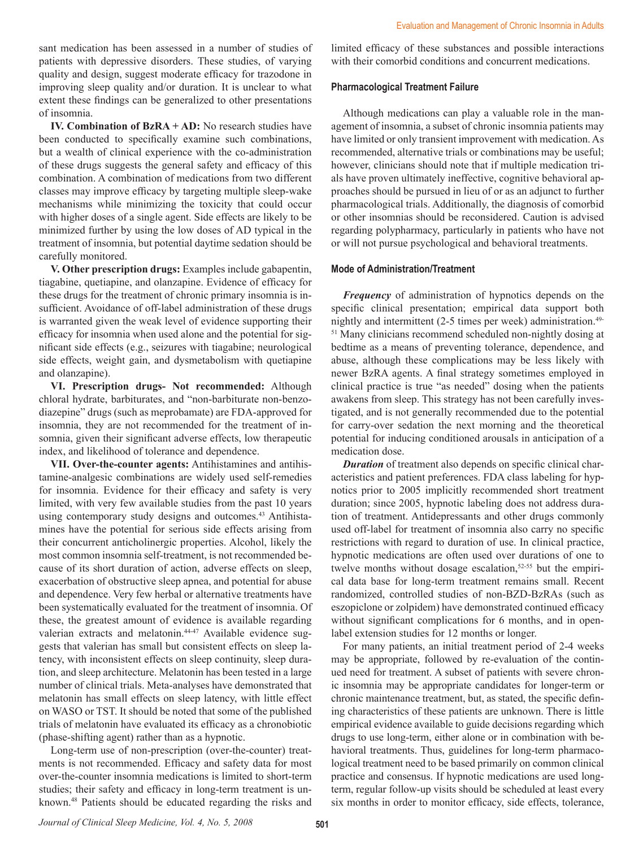**IV. Combination of BzRA + AD:** No research studies have been conducted to specifically examine such combinations, but a wealth of clinical experience with the co-administration of these drugs suggests the general safety and efficacy of this combination. A combination of medications from two different classes may improve efficacy by targeting multiple sleep-wake mechanisms while minimizing the toxicity that could occur with higher doses of a single agent. Side effects are likely to be minimized further by using the low doses of AD typical in the treatment of insomnia, but potential daytime sedation should be carefully monitored.

**V. Other prescription drugs:** Examples include gabapentin, tiagabine, quetiapine, and olanzapine. Evidence of efficacy for these drugs for the treatment of chronic primary insomnia is insufficient. Avoidance of off-label administration of these drugs is warranted given the weak level of evidence supporting their efficacy for insomnia when used alone and the potential for significant side effects (e.g., seizures with tiagabine; neurological side effects, weight gain, and dysmetabolism with quetiapine and olanzapine).

**VI. Prescription drugs- Not recommended:** Although chloral hydrate, barbiturates, and "non-barbiturate non-benzodiazepine" drugs (such as meprobamate) are FDA-approved for insomnia, they are not recommended for the treatment of insomnia, given their significant adverse effects, low therapeutic index, and likelihood of tolerance and dependence.

**VII. Over-the-counter agents:** Antihistamines and antihistamine-analgesic combinations are widely used self-remedies for insomnia. Evidence for their efficacy and safety is very limited, with very few available studies from the past 10 years using contemporary study designs and outcomes.<sup>43</sup> Antihistamines have the potential for serious side effects arising from their concurrent anticholinergic properties. Alcohol, likely the most common insomnia self-treatment, is not recommended because of its short duration of action, adverse effects on sleep, exacerbation of obstructive sleep apnea, and potential for abuse and dependence. Very few herbal or alternative treatments have been systematically evaluated for the treatment of insomnia. Of these, the greatest amount of evidence is available regarding valerian extracts and melatonin.<sup>44-47</sup> Available evidence suggests that valerian has small but consistent effects on sleep latency, with inconsistent effects on sleep continuity, sleep duration, and sleep architecture. Melatonin has been tested in a large number of clinical trials. Meta-analyses have demonstrated that melatonin has small effects on sleep latency, with little effect on WASO or TST. It should be noted that some of the published trials of melatonin have evaluated its efficacy as a chronobiotic (phase-shifting agent) rather than as a hypnotic.

Long-term use of non-prescription (over-the-counter) treatments is not recommended. Efficacy and safety data for most over-the-counter insomnia medications is limited to short-term studies; their safety and efficacy in long-term treatment is unknown.<sup>48</sup> Patients should be educated regarding the risks and

limited efficacy of these substances and possible interactions with their comorbid conditions and concurrent medications.

#### **Pharmacological Treatment Failure**

Although medications can play a valuable role in the management of insomnia, a subset of chronic insomnia patients may have limited or only transient improvement with medication. As recommended, alternative trials or combinations may be useful; however, clinicians should note that if multiple medication trials have proven ultimately ineffective, cognitive behavioral approaches should be pursued in lieu of or as an adjunct to further pharmacological trials. Additionally, the diagnosis of comorbid or other insomnias should be reconsidered. Caution is advised regarding polypharmacy, particularly in patients who have not or will not pursue psychological and behavioral treatments.

#### **Mode of Administration/Treatment**

*Frequency* of administration of hypnotics depends on the specific clinical presentation; empirical data support both nightly and intermittent (2-5 times per week) administration.<sup>49-</sup> <sup>51</sup> Many clinicians recommend scheduled non-nightly dosing at bedtime as a means of preventing tolerance, dependence, and abuse, although these complications may be less likely with newer BzRA agents. A final strategy sometimes employed in clinical practice is true "as needed" dosing when the patients awakens from sleep. This strategy has not been carefully investigated, and is not generally recommended due to the potential for carry-over sedation the next morning and the theoretical potential for inducing conditioned arousals in anticipation of a medication dose.

*Duration* of treatment also depends on specific clinical characteristics and patient preferences. FDA class labeling for hypnotics prior to 2005 implicitly recommended short treatment duration; since 2005, hypnotic labeling does not address duration of treatment. Antidepressants and other drugs commonly used off-label for treatment of insomnia also carry no specific restrictions with regard to duration of use. In clinical practice, hypnotic medications are often used over durations of one to twelve months without dosage escalation,<sup>52-55</sup> but the empirical data base for long-term treatment remains small. Recent randomized, controlled studies of non-BZD-BzRAs (such as eszopiclone or zolpidem) have demonstrated continued efficacy without significant complications for 6 months, and in openlabel extension studies for 12 months or longer.

For many patients, an initial treatment period of 2-4 weeks may be appropriate, followed by re-evaluation of the continued need for treatment. A subset of patients with severe chronic insomnia may be appropriate candidates for longer-term or chronic maintenance treatment, but, as stated, the specific defining characteristics of these patients are unknown. There is little empirical evidence available to guide decisions regarding which drugs to use long-term, either alone or in combination with behavioral treatments. Thus, guidelines for long-term pharmacological treatment need to be based primarily on common clinical practice and consensus. If hypnotic medications are used longterm, regular follow-up visits should be scheduled at least every six months in order to monitor efficacy, side effects, tolerance,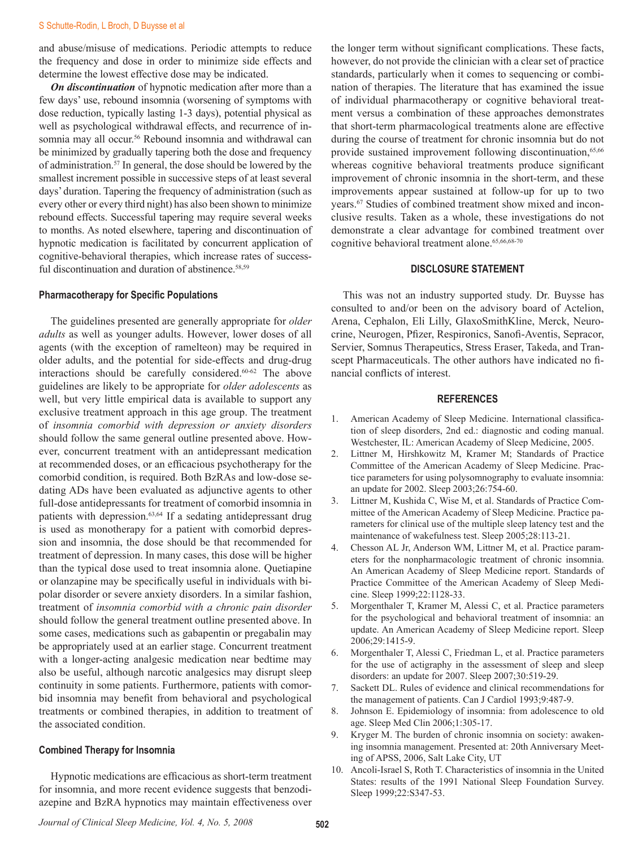and abuse/misuse of medications. Periodic attempts to reduce the frequency and dose in order to minimize side effects and determine the lowest effective dose may be indicated.

*On discontinuation* of hypnotic medication after more than a few days' use, rebound insomnia (worsening of symptoms with dose reduction, typically lasting 1-3 days), potential physical as well as psychological withdrawal effects, and recurrence of insomnia may all occur.<sup>56</sup> Rebound insomnia and withdrawal can be minimized by gradually tapering both the dose and frequency of administration.<sup>57</sup> In general, the dose should be lowered by the smallest increment possible in successive steps of at least several days' duration. Tapering the frequency of administration (such as every other or every third night) has also been shown to minimize rebound effects. Successful tapering may require several weeks to months. As noted elsewhere, tapering and discontinuation of hypnotic medication is facilitated by concurrent application of cognitive-behavioral therapies, which increase rates of successful discontinuation and duration of abstinence.<sup>58,59</sup>

## **Pharmacotherapy for Specific Populations**

The guidelines presented are generally appropriate for *older adults* as well as younger adults. However, lower doses of all agents (with the exception of ramelteon) may be required in older adults, and the potential for side-effects and drug-drug interactions should be carefully considered.<sup>60-62</sup> The above guidelines are likely to be appropriate for *older adolescents* as well, but very little empirical data is available to support any exclusive treatment approach in this age group. The treatment of *insomnia comorbid with depression or anxiety disorders* should follow the same general outline presented above. However, concurrent treatment with an antidepressant medication at recommended doses, or an efficacious psychotherapy for the comorbid condition, is required. Both BzRAs and low-dose sedating ADs have been evaluated as adjunctive agents to other full-dose antidepressants for treatment of comorbid insomnia in patients with depression.<sup>63,64</sup> If a sedating antidepressant drug is used as monotherapy for a patient with comorbid depression and insomnia, the dose should be that recommended for treatment of depression. In many cases, this dose will be higher than the typical dose used to treat insomnia alone. Quetiapine or olanzapine may be specifically useful in individuals with bipolar disorder or severe anxiety disorders. In a similar fashion, treatment of *insomnia comorbid with a chronic pain disorder* should follow the general treatment outline presented above. In some cases, medications such as gabapentin or pregabalin may be appropriately used at an earlier stage. Concurrent treatment with a longer-acting analgesic medication near bedtime may also be useful, although narcotic analgesics may disrupt sleep continuity in some patients. Furthermore, patients with comorbid insomnia may benefit from behavioral and psychological treatments or combined therapies, in addition to treatment of the associated condition.

## **Combined Therapy for Insomnia**

Hypnotic medications are efficacious as short-term treatment for insomnia, and more recent evidence suggests that benzodiazepine and BzRA hypnotics may maintain effectiveness over

the longer term without significant complications. These facts, however, do not provide the clinician with a clear set of practice standards, particularly when it comes to sequencing or combination of therapies. The literature that has examined the issue of individual pharmacotherapy or cognitive behavioral treatment versus a combination of these approaches demonstrates that short-term pharmacological treatments alone are effective during the course of treatment for chronic insomnia but do not provide sustained improvement following discontinuation,<sup>65,66</sup> whereas cognitive behavioral treatments produce significant improvement of chronic insomnia in the short-term, and these improvements appear sustained at follow-up for up to two years.<sup>67</sup> Studies of combined treatment show mixed and inconclusive results. Taken as a whole, these investigations do not demonstrate a clear advantage for combined treatment over cognitive behavioral treatment alone.<sup>65,66,68-70</sup>

### **Disclosure Statement**

This was not an industry supported study. Dr. Buysse has consulted to and/or been on the advisory board of Actelion, Arena, Cephalon, Eli Lilly, GlaxoSmithKline, Merck, Neurocrine, Neurogen, Pfizer, Respironics, Sanofi-Aventis, Sepracor, Servier, Somnus Therapeutics, Stress Eraser, Takeda, and Transcept Pharmaceuticals. The other authors have indicated no financial conflicts of interest.

### **REFERENCES**

- 1. American Academy of Sleep Medicine. International classification of sleep disorders, 2nd ed.: diagnostic and coding manual. Westchester, IL: American Academy of Sleep Medicine, 2005.
- 2. Littner M, Hirshkowitz M, Kramer M; Standards of Practice Committee of the American Academy of Sleep Medicine. Practice parameters for using polysomnography to evaluate insomnia: an update for 2002. Sleep 2003;26:754-60.
- 3. Littner M, Kushida C, Wise M, et al. Standards of Practice Committee of the American Academy of Sleep Medicine. Practice parameters for clinical use of the multiple sleep latency test and the maintenance of wakefulness test. Sleep 2005;28:113-21.
- 4. Chesson AL Jr, Anderson WM, Littner M, et al. Practice parameters for the nonpharmacologic treatment of chronic insomnia. An American Academy of Sleep Medicine report. Standards of Practice Committee of the American Academy of Sleep Medicine. Sleep 1999;22:1128-33.
- 5. Morgenthaler T, Kramer M, Alessi C, et al. Practice parameters for the psychological and behavioral treatment of insomnia: an update. An American Academy of Sleep Medicine report. Sleep 2006;29:1415-9.
- Morgenthaler T, Alessi C, Friedman L, et al. Practice parameters for the use of actigraphy in the assessment of sleep and sleep disorders: an update for 2007. Sleep 2007;30:519-29.
- 7. Sackett DL. Rules of evidence and clinical recommendations for the management of patients. Can J Cardiol 1993;9:487-9.
- 8. Johnson E. Epidemiology of insomnia: from adolescence to old age. Sleep Med Clin 2006;1:305-17.
- 9. Kryger M. The burden of chronic insomnia on society: awakening insomnia management. Presented at: 20th Anniversary Meeting of APSS, 2006, Salt Lake City, UT
- 10. Ancoli-Israel S, Roth T. Characteristics of insomnia in the United States: results of the 1991 National Sleep Foundation Survey. Sleep 1999;22:S347-53.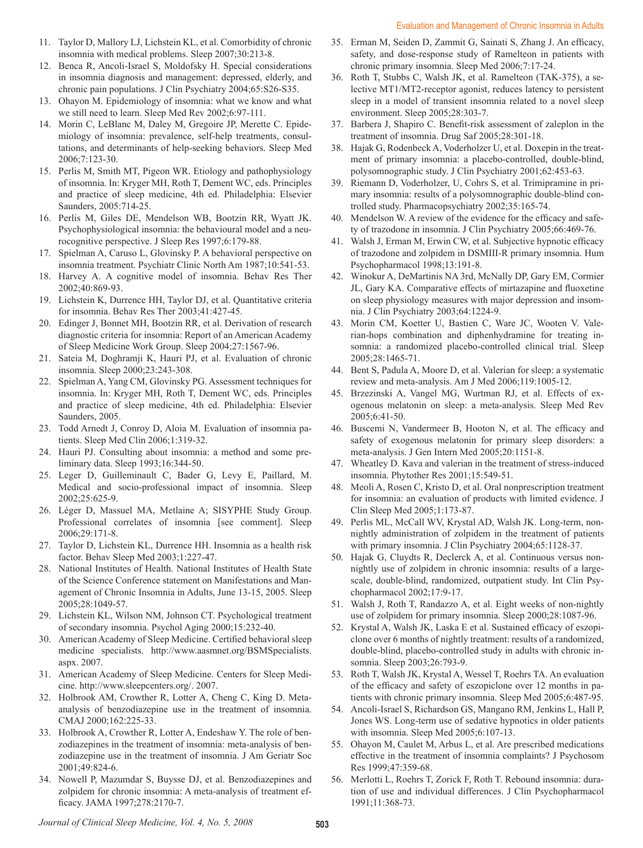#### Evaluation and Management of Chronic Insomnia in Adults

- 11. Taylor D, Mallory LJ, Lichstein KL, et al. Comorbidity of chronic insomnia with medical problems. Sleep 2007;30:213-8.
- 12. Benca R, Ancoli-Israel S, Moldofsky H. Special considerations in insomnia diagnosis and management: depressed, elderly, and chronic pain populations. J Clin Psychiatry 2004;65:S26-S35.
- 13. Ohayon M. Epidemiology of insomnia: what we know and what we still need to learn. Sleep Med Rev 2002;6:97-111.
- 14. Morin C, LeBlanc M, Daley M, Gregoire JP, Merette C. Epidemiology of insomnia: prevalence, self-help treatments, consultations, and determinants of help-seeking behaviors. Sleep Med 2006;7:123-30.
- 15. Perlis M, Smith MT, Pigeon WR. Etiology and pathophysiology of insomnia. In: Kryger MH, Roth T, Dement WC, eds. Principles and practice of sleep medicine, 4th ed. Philadelphia: Elsevier Saunders, 2005:714-25.
- 16. Perlis M, Giles DE, Mendelson WB, Bootzin RR, Wyatt JK. Psychophysiological insomnia: the behavioural model and a neurocognitive perspective. J Sleep Res 1997;6:179-88.
- 17. Spielman A, Caruso L, Glovinsky P. A behavioral perspective on insomnia treatment. Psychiatr Clinic North Am 1987;10:541-53.
- 18. Harvey A. A cognitive model of insomnia. Behav Res Ther 2002;40:869-93.
- 19. Lichstein K, Durrence HH, Taylor DJ, et al. Quantitative criteria for insomnia. Behav Res Ther 2003;41:427-45.
- 20. Edinger J, Bonnet MH, Bootzin RR, et al. Derivation of research diagnostic criteria for insomnia: Report of an American Academy of Sleep Medicine Work Group. Sleep 2004;27:1567-96.
- 21. Sateia M, Doghramji K, Hauri PJ, et al. Evaluation of chronic insomnia. Sleep 2000;23:243-308.
- 22. Spielman A, Yang CM, Glovinsky PG. Assessment techniques for insomnia. In: Kryger MH, Roth T, Dement WC, eds. Principles and practice of sleep medicine, 4th ed. Philadelphia: Elsevier Saunders, 2005.
- 23. Todd Arnedt J, Conroy D, Aloia M. Evaluation of insomnia patients. Sleep Med Clin 2006;1:319-32.
- 24. Hauri PJ. Consulting about insomnia: a method and some preliminary data. Sleep 1993;16:344-50.
- 25. Leger D, Guilleminault C, Bader G, Levy E, Paillard, M. Medical and socio-professional impact of insomnia. Sleep 2002;25:625-9.
- 26. Léger D, Massuel MA, Metlaine A; SISYPHE Study Group. Professional correlates of insomnia [see comment]. Sleep 2006;29:171-8.
- 27. Taylor D, Lichstein KL, Durrence HH. Insomnia as a health risk factor. Behav Sleep Med 2003;1:227-47.
- 28. National Institutes of Health. National Institutes of Health State of the Science Conference statement on Manifestations and Management of Chronic Insomnia in Adults, June 13-15, 2005. Sleep 2005;28:1049-57.
- 29. Lichstein KL, Wilson NM, Johnson CT. Psychological treatment of secondary insomnia. Psychol Aging 2000;15:232-40.
- 30. American Academy of Sleep Medicine. Certified behavioral sleep medicine specialists. http://www.aasmnet.org/BSMSpecialists. aspx. 2007.
- 31. American Academy of Sleep Medicine. Centers for Sleep Medicine. http://www.sleepcenters.org/. 2007.
- 32. Holbrook AM, Crowther R, Lotter A, Cheng C, King D. Metaanalysis of benzodiazepine use in the treatment of insomnia. CMAJ 2000;162:225-33.
- 33. Holbrook A, Crowther R, Lotter A, Endeshaw Y. The role of benzodiazepines in the treatment of insomnia: meta-analysis of benzodiazepine use in the treatment of insomnia. J Am Geriatr Soc 2001;49:824-6.
- 34. Nowell P, Mazumdar S, Buysse DJ, et al. Benzodiazepines and zolpidem for chronic insomnia: A meta-analysis of treatment efficacy. JAMA 1997;278:2170-7.
- 35. Erman M, Seiden D, Zammit G, Sainati S, Zhang J. An efficacy, safety, and dose-response study of Ramelteon in patients with chronic primary insomnia. Sleep Med 2006;7:17-24.
- 36. Roth T, Stubbs C, Walsh JK, et al. Ramelteon (TAK-375), a selective MT1/MT2-receptor agonist, reduces latency to persistent sleep in a model of transient insomnia related to a novel sleep environment. Sleep 2005;28:303-7.
- 37. Barbera J, Shapiro C. Benefit-risk assessment of zaleplon in the treatment of insomnia. Drug Saf 2005;28:301-18.
- 38. Hajak G, RodenbeckA, Voderholzer U, et al. Doxepin in the treatment of primary insomnia: a placebo-controlled, double-blind, polysomnographic study. J Clin Psychiatry 2001;62:453-63.
- 39. Riemann D, Voderholzer, U, Cohrs S, et al. Trimipramine in primary insomnia: results of a polysomnographic double-blind controlled study. Pharmacopsychiatry 2002;35:165-74.
- 40. Mendelson W. A review of the evidence for the efficacy and safety of trazodone in insomnia. J Clin Psychiatry 2005;66:469-76.
- 41. Walsh J, Erman M, Erwin CW, et al. Subjective hypnotic efficacy of trazodone and zolpidem in DSMIII-R primary insomnia. Hum Psychopharmacol 1998;13:191-8.
- 42. Winokur A, DeMartinis NA 3rd, McNally DP, Gary EM, Cormier JL, Gary KA. Comparative effects of mirtazapine and fluoxetine on sleep physiology measures with major depression and insomnia. J Clin Psychiatry 2003;64:1224-9.
- 43. Morin CM, Koetter U, Bastien C, Ware JC, Wooten V. Valerian-hops combination and diphenhydramine for treating insomnia: a randomized placebo-controlled clinical trial. Sleep 2005;28:1465-71.
- 44. Bent S, Padula A, Moore D, et al. Valerian for sleep: a systematic review and meta-analysis. Am J Med 2006;119:1005-12.
- 45. Brzezinski A, Vangel MG, Wurtman RJ, et al. Effects of exogenous melatonin on sleep: a meta-analysis. Sleep Med Rev 2005;6:41-50.
- 46. Buscemi N, Vandermeer B, Hooton N, et al. The efficacy and safety of exogenous melatonin for primary sleep disorders: a meta-analysis. J Gen Intern Med 2005;20:1151-8.
- 47. Wheatley D. Kava and valerian in the treatment of stress-induced insomnia. Phytother Res 2001;15:549-51.
- 48. Meoli A, Rosen C, Kristo D, et al. Oral nonprescription treatment for insomnia: an evaluation of products with limited evidence. J Clin Sleep Med 2005;1:173-87.
- 49. Perlis ML, McCall WV, Krystal AD, Walsh JK. Long-term, nonnightly administration of zolpidem in the treatment of patients with primary insomnia. J Clin Psychiatry 2004;65:1128-37.
- 50. Hajak G, Cluydts R, Declerck A, et al. Continuous versus nonnightly use of zolpidem in chronic insomnia: results of a largescale, double-blind, randomized, outpatient study. Int Clin Psychopharmacol 2002;17:9-17.
- 51. Walsh J, Roth T, Randazzo A, et al. Eight weeks of non-nightly use of zolpidem for primary insomnia. Sleep 2000;28:1087-96.
- 52. Krystal A, Walsh JK, Laska E et al. Sustained efficacy of eszopiclone over 6 months of nightly treatment: results of a randomized, double-blind, placebo-controlled study in adults with chronic insomnia. Sleep 2003;26:793-9.
- 53. Roth T, Walsh JK, Krystal A, Wessel T, Roehrs TA. An evaluation of the efficacy and safety of eszopiclone over 12 months in patients with chronic primary insomnia. Sleep Med 2005;6:487-95.
- 54. Ancoli-Israel S, Richardson GS, Mangano RM, Jenkins L, Hall P, Jones WS. Long-term use of sedative hypnotics in older patients with insomnia. Sleep Med 2005;6:107-13.
- 55. Ohayon M, Caulet M, Arbus L, et al. Are prescribed medications effective in the treatment of insomnia complaints? J Psychosom Res 1999;47:359-68.
- 56. Merlotti L, Roehrs T, Zorick F, Roth T. Rebound insomnia: duration of use and individual differences. J Clin Psychopharmacol 1991;11:368-73.